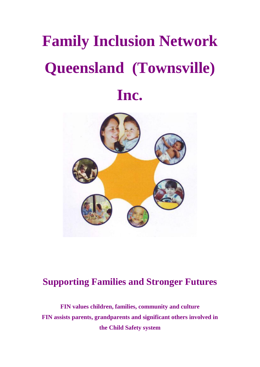# **Family Inclusion Network Queensland (Townsville) Inc.**



# **Supporting Families and Stronger Futures**

**FIN values children, families, community and culture FIN assists parents, grandparents and significant others involved in the Child Safety system**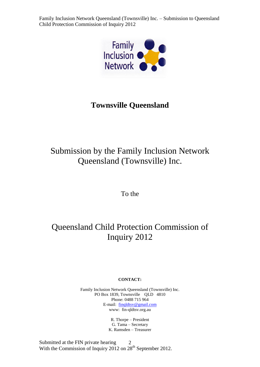

## **Townsville Queensland**

# Submission by the Family Inclusion Network Queensland (Townsville) Inc.

To the

# Queensland Child Protection Commission of Inquiry 2012

#### **CONTACT:**

Family Inclusion Network Queensland (Townsville) Inc. PO Box 1839, Townsville OLD 4810 Phone: 0488 715 964 E-mail: [finqldtsv@gmail.com](mailto:finqldtsv@gmail.com) www: fin-qldtsv.org.au

> R. Thorpe – President G. Tama – Secretary K. Ramsden – Treasurer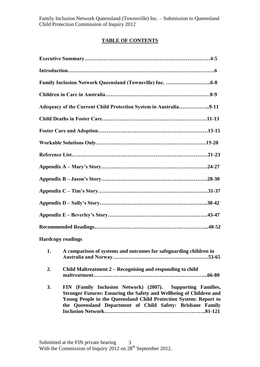## **TABLE OF CONTENTS**

|              | Adequacy of the Current Child Protection System in Australia9-11     |
|--------------|----------------------------------------------------------------------|
|              |                                                                      |
|              |                                                                      |
|              |                                                                      |
|              |                                                                      |
|              |                                                                      |
|              |                                                                      |
|              |                                                                      |
|              |                                                                      |
|              |                                                                      |
|              |                                                                      |
|              | <b>Hardcopy readings</b>                                             |
|              | 1. A comparison of systems and outcomes for safeguarding children in |
| 2.           | Child Maltreatment 2 – Recognising and responding to child<br>66-80  |
| $\mathbf{r}$ | FIN (Family Inclusion Network) (2007) Supporting Families            |

**3. FIN (Family Inclusion Network) (2007). Supporting Families, Stronger Futures: Ensuring the Safety and Wellbeing of Children and Young People in the Queensland Child Protection System: Report to the Queensland Department of Child Safety: Brisbane Family Inclusion Network………………………………………………….81-121**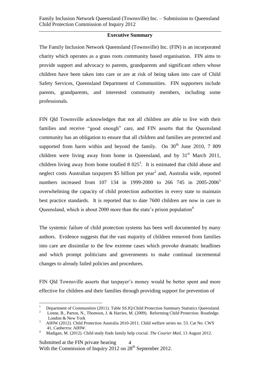#### **Executive Summary**

The Family Inclusion Network Queensland (Townsville) Inc. (FIN) is an incorporated charity which operates as a grass roots community based organisation. FIN aims to provide support and advocacy to parents, grandparents and significant others whose children have been taken into care or are at risk of being taken into care of Child Safety Services, Queensland Department of Communities. FIN supporters include parents, grandparents, and interested community members, including some professionals.

FIN Qld Townsville acknowledges that not all children are able to live with their families and receive "good enough" care, and FIN asserts that the Queensland community has an obligation to ensure that all children and families are protected and supported from harm within and beyond the family. On  $30<sup>th</sup>$  June 2010, 7 809 children were living away from home in Queensland, and by  $31<sup>st</sup>$  March 2011, children living away from home totalled  $8025<sup>1</sup>$ . It is estimated that child abuse and neglect costs Australian taxpayers \$5 billion per year<sup>2</sup> and, Australia wide, reported numbers increased from 107 134 in 1999-2000 to 266 745 in 2005-2006<sup>3</sup> overwhelming the capacity of child protection authorities in every state to maintain best practice standards. It is reported that to date 7600 children are now in care in Queensland, which is about 2000 more than the state's prison population<sup>4</sup>

The systemic failure of child protection systems has been well documented by many authors. Evidence suggests that the vast majority of children removed from families into care are dissimilar to the few extreme cases which provoke dramatic headlines and which prompt politicians and governments to make continual incremental changes to already failed policies and procedures.

FIN Qld Townsville asserts that taxpayer's money would be better spent and more effective for children and their families through providing support for prevention of

 $\frac{1}{1}$ Department of Communities (2011). Table SS.IQ:Child Protection Summary Statistics Queensland.

<sup>2</sup> Lonne, B., Parton, N., Thomson, J. & Harries, M. (2009). Reforming Child Protection. Routledge. London & New York

<sup>3</sup> AIHW (2012). Child Protection Australia 2010-2011. Child welfare series no. 53. Cat No. CWS 41, Canberrra: AIHW.

<sup>4</sup> Madigan, M. (2012). Child study finds family help crucial. *The Courier Mail,* 13 August 2012.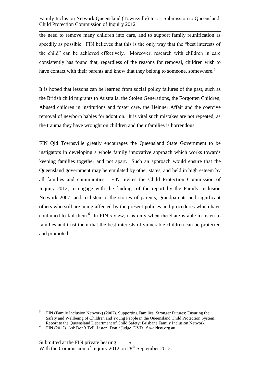the need to remove many children into care, and to support family reunification as speedily as possible. FIN believes that this is the only way that the "best interests of the child" can be achieved effectively. Moreover, research with children in care consistently has found that, regardless of the reasons for removal, children wish to have contact with their parents and know that they belong to someone, somewhere.<sup>5</sup>

It is hoped that lessons can be learned from social policy failures of the past, such as the British child migrants to Australia, the Stolen Generations, the Forgotten Children, Abused children in institutions and foster care, the Heinner Affair and the coercive removal of newborn babies for adoption. It is vital such mistakes are not repeated, as the trauma they have wrought on children and their families is horrendous.

FIN Qld Townsville greatly encourages the Queensland State Government to be instigators in developing a whole family innovative approach which works towards keeping families together and not apart. Such an approach would ensure that the Queensland government may be emulated by other states, and held in high esteem by all families and communities. FIN invites the Child Protection Commission of Inquiry 2012, to engage with the findings of the report by the Family Inclusion Network 2007, and to listen to the stories of parents, grandparents and significant others who still are being affected by the present policies and procedures which have continued to fail them.<sup>6</sup> In FIN's view, it is only when the State is able to listen to families and trust them that the best interests of vulnerable children can be protected and promoted.

 $\overline{a}$ 

<sup>5</sup> FIN (Family Inclusion Network) (2007). Supporting Families, Stronger Futures: Ensuring the Safety and Wellbeing of Children and Young People in the Queensland Child Protection System: Report to the Queensland Department of Child Safety: Brisbane Family Inclusion Network.

<sup>&</sup>lt;sup>6</sup> FIN (2012). Ask Don't Tell, Listen, Don't Judge. DVD. fin-qldtsv.org.au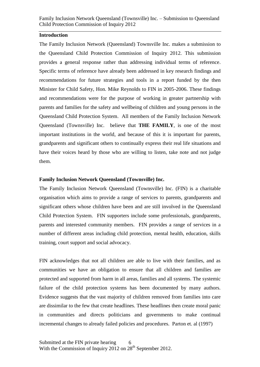#### **Introduction**

The Family Inclusion Network (Queensland) Townsville Inc. makes a submission to the Queensland Child Protection Commission of Inquiry 2012. This submission provides a general response rather than addressing individual terms of reference. Specific terms of reference have already been addressed in key research findings and recommendations for future strategies and tools in a report funded by the then Minister for Child Safety, Hon. Mike Reynolds to FIN in 2005-2006. These findings and recommendations were for the purpose of working in greater partnership with parents and families for the safety and wellbeing of children and young persons in the Queensland Child Protection System. All members of the Family Inclusion Network Queensland (Townsville) Inc. believe that **THE FAMILY**, is one of the most important institutions in the world, and because of this it is important for parents, grandparents and significant others to continually express their real life situations and have their voices heard by those who are willing to listen, take note and not judge them.

#### **Family Inclusion Network Queensland (Townsville) Inc.**

The Family Inclusion Network Queensland (Townsville) Inc. (FIN) is a charitable organisation which aims to provide a range of services to parents, grandparents and significant others whose children have been and are still involved in the Queensland Child Protection System. FIN supporters include some professionals, grandparents, parents and interested community members. FIN provides a range of services in a number of different areas including child protection, mental health, education, skills training, court support and social advocacy.

FIN acknowledges that not all children are able to live with their families, and as communities we have an obligation to ensure that all children and families are protected and supported from harm in all areas, families and all systems. The systemic failure of the child protection systems has been documented by many authors. Evidence suggests that the vast majority of children removed from families into care are dissimilar to the few that create headlines. These headlines then create moral panic in communities and directs politicians and governments to make continual incremental changes to already failed policies and procedures. Parton et. al (1997)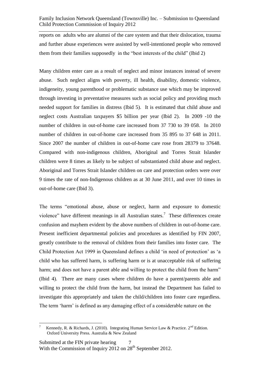reports on adults who are alumni of the care system and that their dislocation, trauma and further abuse experiences were assisted by well-intentioned people who removed them from their families supposedly in the "best interests of the child" (Ibid 2)

Many children enter care as a result of neglect and minor instances instead of severe abuse. Such neglect aligns with poverty, ill health, disability, domestic violence, indigeneity, young parenthood or problematic substance use which may be improved through investing in preventative measures such as social policy and providing much needed support for families in distress (Ibid 5). It is estimated that child abuse and neglect costs Australian taxpayers \$5 billion per year (Ibid 2). In 2009 -10 the number of children in out-of-home care increased from 37 730 to 39 058. In 2010 number of children in out-of-home care increased from 35 895 to 37 648 in 2011. Since 2007 the number of children in out-of-home care rose from 28379 to 37648. Compared with non-indigenous children, Aboriginal and Torres Strait Islander children were 8 times as likely to be subject of substantiated child abuse and neglect. Aboriginal and Torres Strait Islander children on care and protection orders were over 9 times the rate of non-Indigenous children as at 30 June 2011, and over 10 times in out-of-home care (Ibid 3).

The terms "emotional abuse, abuse or neglect, harm and exposure to domestic violence" have different meanings in all Australian states.<sup>7</sup> These differences create confusion and mayhem evident by the above numbers of children in out-of-home care. Present inefficient departmental policies and procedures as identified by FIN 2007, greatly contribute to the removal of children from their families into foster care. The Child Protection Act 1999 in Queensland defines a child 'in need of protection' as 'a child who has suffered harm, is suffering harm or is at unacceptable risk of suffering harm; and does not have a parent able and willing to protect the child from the harm" (Ibid 4). There are many cases where children do have a parent/parents able and willing to protect the child from the harm, but instead the Department has failed to investigate this appropriately and taken the child/children into foster care regardless. The term 'harm' is defined as any damaging effect of a considerable nature on the

 $\overline{a}$ 7 Kennedy, R. & Richards, J. (2010). Integrating Human Service Law & Practice.  $2^{nd}$  Edition. Oxford University Press. Australia & New Zealand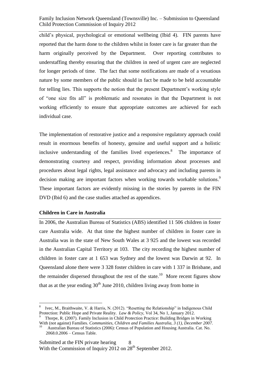child's physical, psychological or emotional wellbeing (Ibid 4). FIN parents have reported that the harm done to the children whilst in foster care is far greater than the harm originally perceived by the Department. Over reporting contributes to understaffing thereby ensuring that the children in need of urgent care are neglected for longer periods of time. The fact that some notifications are made of a vexatious nature by some members of the public should in fact be made to be held accountable for telling lies. This supports the notion that the present Department's working style of "one size fits all" is problematic and resonates in that the Department is not working efficiently to ensure that appropriate outcomes are achieved for each individual case.

The implementation of restorative justice and a responsive regulatory approach could result in enormous benefits of honesty, genuine and useful support and a holistic inclusive understanding of the families lived experiences.<sup>8</sup> The importance of demonstrating courtesy and respect, providing information about processes and procedures about legal rights, legal assistance and advocacy and including parents in decision making are important factors when working towards workable solutions.<sup>9</sup> These important factors are evidently missing in the stories by parents in the FIN DVD (Ibid 6) and the case studies attached as appendices.

#### **Children in Care in Australia**

 $\overline{a}$ 

In 2006, the Australian Bureau of Statistics (ABS) identified 11 506 children in foster care Australia wide. At that time the highest number of children in foster care in Australia was in the state of New South Wales at 3 925 and the lowest was recorded in the Australian Capital Territory at 103. The city recording the highest number of children in foster care at 1 653 was Sydney and the lowest was Darwin at 92. In Queensland alone there were 3 328 foster children in care with 1 337 in Brisbane, and the remainder dispersed throughout the rest of the state.<sup>10</sup> More recent figures show that as at the year ending  $30<sup>th</sup>$  June 2010, children living away from home in

<sup>8</sup> Ivec, M., Braithwaite, V. & Harris, N. (2012). "Resetting the Relationship" in Indigenous Child Protection: Public Hope and Private Reality. *Law & Policy,* Vol 34, No 1, January 2012.

<sup>&</sup>lt;sup>9</sup> Thorpe, R. (2007). Family Inclusion in Child Protection Practice: Building Bridges in Working With (not against) Families. *Communities, Children and Families Australia, 3 (1), December 2007.*

<sup>10</sup> Australian Bureau of Statistics (2006): Census of Population and Housing Australia. Cat. No. 2068.0.2006 – Census Table.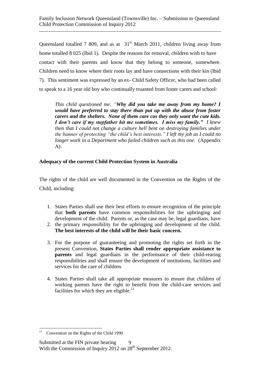Queensland totalled 7 809, and as at  $31<sup>st</sup>$  March 2011, children living away from home totalled 8 025 (Ibid 1). Despite the reasons for removal, children wish to have contact with their parents and know that they belong to someone, somewhere. Children need to know where their roots lay and have connections with their kin (Ibid 7). This sentiment was expressed by an ex- Child Safety Officer, who had been called to speak to a 16 year old boy who continually truanted from foster carers and school:

*This child questioned me, "Why did you take me away from my home? I would have preferred to stay there than put up with the abuse from foster carers and the shelters. None of them care cos they only want the cute kids. I don't care if my stepfather hit me sometimes. I miss my family." I knew then that I could not change a culture hell bent on destroying families under the banner of protecting "the child's best interests." I left my job as I could no longer work in a Department who failed children such as this one.* (Appendix A).

#### **Adequacy of the current Child Protection System in Australia**

The rights of the child are well documented in the Convention on the Rights of the Child, including:

- 1. States Parties shall use their best efforts to ensure recognition of the principle that **both parents** have common responsibilities for the upbringing and development of the child. Parents or, as the case may be, legal guardians, have
- 2. the primary responsibility for the upbringing and development of the child. **The best interests of the child will be their basic concern.**
- 3. For the purpose of guaranteeing and promoting the rights set forth in the present Convention, **States Parties shall render appropriate assistance to parents** and legal guardians in the performance of their child-rearing responsibilities and shall ensure the development of institutions, facilities and services for the care of children.
- 4. States Parties shall take all appropriate measures to ensure that children of working parents have the right to benefit from the child-care services and facilities for which they are eligible.<sup>11</sup>

<sup>|&</sup>lt;br>|<br>| 11 Convention on the Rights of the Child 1990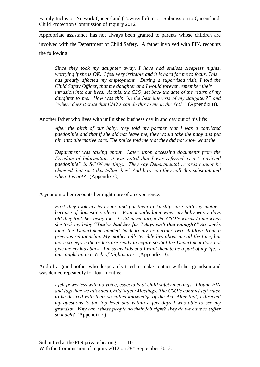Appropriate assistance has not always been granted to parents whose children are involved with the Department of Child Safety. A father involved with FIN, recounts the following:

*Since they took my daughter away, I have had endless sleepless nights, worrying if she is OK. I feel very irritable and it is hard for me to focus. This has greatly affected my employment. During a supervised visit, I told the Child Safety Officer, that my daughter and I would forever remember their intrusion into our lives. At this, the CSO, set back the date of the return of my daughter to me. How was this "in the best interests of my daughter?" and "where does it state that CSO's can do this to me in the Act?"* (Appendix B).

Another father who lives with unfinished business day in and day out of his life:

*After the birth of our baby, they told my partner that I was a convicted paedophile and that if she did not leave me, they would take the baby and put him into alternative care. The police told me that they did not know what the* 

*Department was talking about. Later, upon accessing documents from the Freedom of Information, it was noted that I was referred as a "convicted paedophile" in SCAN meetings. They say Departmental records cannot be changed, but isn't this telling lies? And how can they call this substantiated when it is not?* (Appendix C).

A young mother recounts her nightmare of an experience:

*First they took my two sons and put them in kinship care with my mother, because of domestic violence. Four months later when my baby was 7 days old they took her away too. I will never forget the CSO's words to me when she took my baby "You've had her for 7 days isn't that enough?" Six weeks later the Department handed back to my ex-partner two children from a previous relationship. My mother tells terrible lies about me all the time, but more so before the orders are ready to expire so that the Department does not give me my kids back. I miss my kids and I want them to be a part of my life. I am caught up in a Web of Nightmares.* (Appendix D).

And of a grandmother who desperately tried to make contact with her grandson and was denied repeatedly for four months:

*I felt powerless with no voice, especially at child safety meetings. I found FIN and together we attended Child Safety Meetings. The CSO's conduct left much to be desired with their so called knowledge of the Act. After that, I directed my questions to the top level and within a few days I was able to see my grandson. Why can't these people do their job right? Why do we have to suffer so much?* (Appendix E)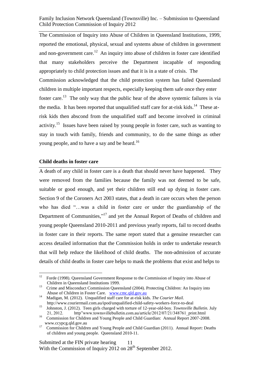The Commission of Inquiry into Abuse of Children in Queensland Institutions, 1999, reported the emotional, physical, sexual and systems abuse of children in government and non-government care.<sup>12</sup> An inquiry into abuse of children in foster care identified that many stakeholders perceive the Department incapable of responding appropriately to child protection issues and that it is in a state of crisis. The Commission acknowledged that the child protection system has failed Queensland children in multiple important respects, especially keeping them safe once they enter foster care.<sup>13</sup> The only way that the public hear of the above systemic failures is via the media. It has been reported that unqualified staff care for at-risk kids.<sup>14</sup> These atrisk kids then abscond from the unqualified staff and become involved in criminal activity.<sup>15</sup> Issues have been raised by young people in foster care, such as wanting to stay in touch with family, friends and community, to do the same things as other young people, and to have a say and be heard.<sup>16</sup>

#### **Child deaths in foster care**

A death of any child in foster care is a death that should never have happened. They were removed from the families because the family was not deemed to be safe, suitable or good enough, and yet their children still end up dying in foster care. Section 9 of the Coroners Act 2003 states, that a death in care occurs when the person who has died "...was a child in foster care or under the guardianship of the Department of Communities,"<sup>17</sup> and yet the Annual Report of Deaths of children and young people Queensland 2010-2011 and previous yearly reports, fail to record deaths in foster care in their reports. The same report stated that a genuine researcher can access detailed information that the Commission holds in order to undertake research that will help reduce the likelihood of child deaths. The non-admission of accurate details of child deaths in foster care helps to mask the problems that exist and helps to

<sup>&</sup>lt;sup>12</sup> Forde (1998). Queensland Government Response to the Commission of Inquiry into Abuse of Children in Queensland Institutions 1999.

<sup>13</sup> Crime and Misconduct Commission Queensland (2004). Protecting Children: An Inquiry into Abuse of Children in Foster Care. [www.cmc.qld.gov.au](http://www.cmc.qld.gov.au/) 14

Madigan, M. (2012). Unqualified staff care for at-risk kids. *The Courier Mail.* http://www.couriermail.com.au/ipod/unqualified-child-safety-workers-force-to-deal

<sup>15</sup> Johnston, J. (2012). Teen girls charged with torture of 12-year-old-boy. *Townsville Bulletin.* July 21, 2012. http"www.townsvillebulletin.com.au/article/2012/07/21/348761\_print.html

<sup>16</sup> Commission for Children and Young People and Child Guardian: Annual Report 2007-2008. www.ccypcg.qld.gov.au

<sup>17</sup> Commission for Children and Young People and Child Guardian (2011). Annual Report: Deaths of children and young people. Queensland 2010-11.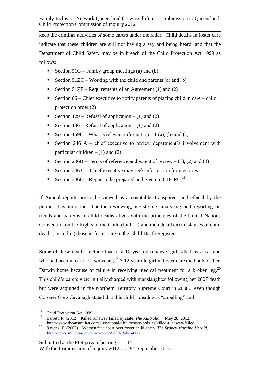keep the criminal activities of some carers under the radar. Child deaths in foster care indicate that these children are still not having a say and being heard, and that the Department of Child Safety may be in breach of the Child Protection Act 1999 as follows:

- Section  $51G$  Family group meetings (a) and (b)
- Section 51ZC Working with the child and parents (a) and (b)
- Section 51ZF Requirements of an Agreement (1) and (2)
- Section  $86$  Chief executive to notify parents of placing child in care child protection order (2)
- Section  $129$  Refusal of application (1) and (2)
- Section  $136$  Refusal of application (1) and (2)
- Section  $159C What$  is relevant information  $-1$  (a), (b) and (c)
- Section 246 A chief executive to review department's involvement with particular children  $- (1)$  and  $(2)$
- Section  $246B$  Terms of reference and extent of review (1), (2) and (3)
- Section 246 C Chief executive may seek information from entities
- Section  $246D$  Report to be prepared and given to CDCRC.<sup>18</sup>

If Annual reports are to be viewed as accountable, transparent and ethical by the public, it is important that the reviewing, registering, analysing and reporting on trends and patterns in child deaths aligns with the principles of the United Nations Convention on the Rights of the Child (Ibid 12) and include all circumstances of child deaths, including those in foster care in the Child Death Register.

Some of these deaths include that of a 10-year-od runaway girl killed by a car and who had been in care for two years;<sup>19</sup> A 12 year old girl in foster care died outside her Darwin home because of failure in receiving medical treatment for a broken leg.<sup>20</sup> This child's carers were initially charged with manslaughter following her 2007 death but were acquitted in the Northern Territory Supreme Court in 2008, even though Coroner Greg Cavanagh stated that this child's death was "appalling" and

<sup>|&</sup>lt;br>|<br>| 18 Child Protection Act 1999

<sup>19</sup> Barrett, R. (2012). Killed runaway failed by state. *The Australian*. May 28, 2012. http://www.theaustralian.com.au/national-affairs/state-politics/killed-runaway-failed 20

Ravens, T. (2007). Women face court over foster child death. *The Sydney Morning Herald*. <http://news.smh.com.au/action/printArticle?id=64117>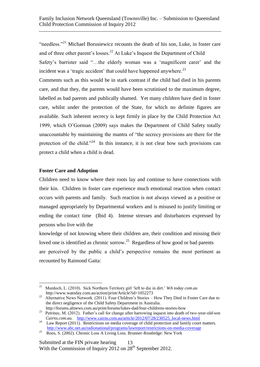"needless."<sup>21</sup> Michael Borusiewicz recounts the death of his son, Luke, in foster care and of three other parent's losses.<sup>22</sup> At Luke's Inquest the Department of Child Safety's barrister said "…the elderly woman was a 'magnificent carer' and the incident was a 'tragic accident' that could have happened anywhere.<sup>23</sup>

Comments such as this would be in stark contrast if the child had died in his parents care, and that they, the parents would have been scrutinised to the maximum degree, labelled as bad parents and publically shamed. Yet many children have died in foster care, whilst under the protection of the State, for which no definite figures are available. Such inherent secrecy is kept firmly in place by the Child Protection Act 1999, which O'Gorman (2009) says makes the Department of Child Safety totally unaccountable by maintaining the mantra of "the secrecy provisions are there for the protection of the child."<sup>24</sup> In this instance, it is not clear how such provisions can protect a child when a child is dead.

#### **Foster Care and Adoption**

 $\overline{a}$ 

Children need to know where their roots lay and continue to have connections with their kin. Children in foster care experience much emotional reaction when contact occurs with parents and family. Such reaction is not always viewed as a positive or managed appropriately by Departmental workers and is misused to justify limiting or ending the contact time (Ibid 4). Intense stresses and disturbances expressed by persons who live with the

knowledge of not knowing where their children are, their condition and missing their loved one is identified as chronic sorrow.<sup>25</sup> Regardless of how good or bad parents are perceived by the public a child's perspective remains the most pertinent as recounted by Raimond Gaita:

<sup>21</sup> Murdoch, L. (2010). Sick Northern Territory girl 'left to die in dirt.' *WA today com.au* http://www.watoday.com.au/action/print/Article?id=1052273

<sup>&</sup>lt;sup>22</sup> Alternative News Network. (2011). Four Children's Stories – How They Died in Foster Care due to the direct negligence of the Child Safety Department in Australia.

http://forums.altnews.com.au/print/forums/lukes-dad/four-childrens-stories-how <sup>23</sup> Petrinec, M. (2012). Father's call for change after harrowing inquest into death of two-year-old-son *Cairns.com.au.* [http://www.cairns.com.au/article/2012/07/28/230525\\_local-news.html](http://www.cairns.com.au/article/2012/07/28/230525_local-news.html)

<sup>24</sup> Law Report (2011). Restrictions on media coverage of child protection and family court matters. <http://www.abc.net.au/radionational/programs/lawreport/restrictions-on-media-coverage>

<sup>&</sup>lt;sup>25</sup> Roos, S. (2002). Chronic Loss A Living Loss. Brunner-Routledge: New York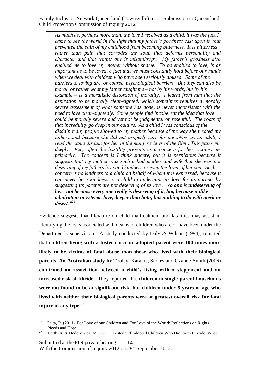*As much as, perhaps more than, the love I received as a child, it was the fact I came to see the world in the light that my father's goodness cast upon it, that prevented the pain of my childhood from becoming bitterness. It is bitterness rather than pain that corrodes the soul, that deforms personality and character and that tempts one is misanthropy. My father's goodness also enabled me to love my mother without shame. To be enabled to love, is as important as to be loved, a fact that we must constantly hold before our minds when we deal with children who have been seriously abused. Some of the barriers to loving are, or course, psychological barriers. But they can also be moral, or rather what my father taught me – not by his words, but by his example – is a moralistic distortion of morality. I learnt from him that the aspiration to be morally clear-sighted, which sometimes requires a morally severe assessment of what someone has done, is never inconsistent with the need to love clear-sightedly. Some people find incoherent the idea that love could be morally severe and yet not be judgmental or resentful. The roots of that incredulity go deep in our culture. As a child I was conscious of the disdain many people showed to my mother because of the way she treated my father…and because she did not properly care for me…Now as an adult, I read the same disdain for her in the many reviews of the film…This pains me deeply. Very often the hostility presents as a concern for her victims, me primarily. The concern is I think sincere, but it is pernicious because it suggests that my mother was such a bad mother and wife that she was not deserving of my fathers love and kindness or even the lover of her son. Such concern is no kindness to a child on behalf of whom it is expressed, because it can never be a kindness to a child to undermine its love for its parents by suggesting its parents are not deserving of its love. No one is undeserving of love, not because every one really is deserving of it, but, because unlike admiration or esteem, love, deeper than both, has nothing to do with merit or desert."<sup>26</sup>*

Evidence suggests that literature on child maltreatment and fatalities may assist in identifying the risks associated with deaths of children who are or have been under the Department's supervision. A study conducted by Daly & Wilson (1994), reported that **children living with a foster carer or adopted parent were 100 times more likely to be victims of fatal abuse than those who lived with their biological parents**. **An Australian study by** Tooley, Karakis, Stokes and Ozanne-Smith (2006) **confirmed an association between a child's living with a stepparent and an increased risk of filicide.** They reported that **children in single-parent households were not found to be at significant risk, but children under 5 years of age who lived with neither their biological parents were at greatest overall risk for fatal injury of any type**. 27

 26 Gaita, R. (2011). For Love of our Children and For Love of the World: Reflections on Rights, Needs and Hope.

<sup>27</sup> Barth, R. & Hodorowicz, M. (2011). Foster and Adopted Children Who Die From Filicide: What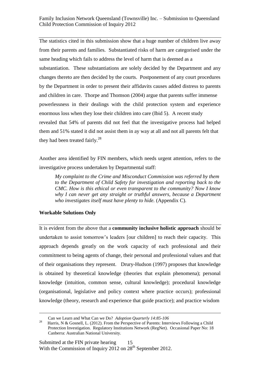The statistics cited in this submission show that a huge number of children live away from their parents and families. Substantiated risks of harm are categorised under the same heading which fails to address the level of harm that is deemed as a substantiation. These substantiations are solely decided by the Department and any changes thereto are then decided by the courts. Postponement of any court procedures by the Department in order to present their affidavits causes added distress to parents and children in care. Thorpe and Thomson (2004) argue that parents suffer immense powerlessness in their dealings with the child protection system and experience enormous loss when they lose their children into care (Ibid 5). A recent study revealed that 54% of parents did not feel that the investigative process had helped them and 51% stated it did not assist them in ay way at all and not all parents felt that they had been treated fairly. $^{28}$ 

Another area identified by FIN members, which needs urgent attention, refers to the investigative process undertaken by Departmental staff:

*My complaint to the Crime and Misconduct Commission was referred by them to the Department of Child Safety for investigation and reporting back to the CMC. How is this ethical or even transparent to the community? Now I know why I can never get any straight or truthful answers, because a Department who investigates itself must have plenty to hide.* (Appendix C).

## **Workable Solutions Only**

1

It is evident from the above that a **community inclusive holistic approach** should be undertaken to assist tomorrow's leaders [our children] to reach their capacity. This approach depends greatly on the work capacity of each professional and their commitment to being agents of change, their personal and professional values and that of their organisations they represent. Drury-Hudson (1997) proposes that knowledge is obtained by theoretical knowledge (theories that explain phenomena); personal knowledge (intuition, common sense, cultural knowledge); procedural knowledge (organisational, legislative and policy context where practice occurs); professional knowledge (theory, research and experience that guide practice); and practice wisdom

Can we Learn and What Can we Do? *Adoption Quarterly 14:85-106*

<sup>28</sup> Harris, N & Gosnell, L. (2012). From the Perspective of Parents: Interviews Following a Child Protection Investigation. Regulatory Institutions Network (RegNet). Occasional Paper No: 18 Canberra: Australian National University.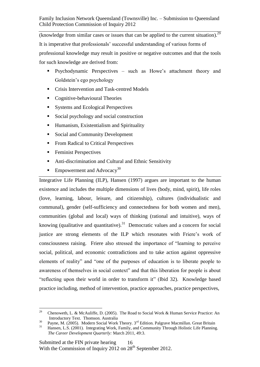(knowledge from similar cases or issues that can be applied to the current situation). $^{29}$ It is imperative that professionals' successful understanding of various forms of professional knowledge may result in positive or negative outcomes and that the tools for such knowledge are derived from:

- Psychodynamic Perspectives such as Howe's attachment theory and Goldstein's ego psychology
- Crisis Intervention and Task-centred Models
- Cognitive-behavioural Theories
- Systems and Ecological Perspectives
- Social psychology and social construction
- Humanism, Existentialism and Spirituality
- Social and Community Development
- From Radical to Critical Perspectives
- **Feminist Perspectives**
- Anti-discrimination and Cultural and Ethnic Sensitivity
- **Empowerment and Advocacy**<sup>30</sup>

Integrative Life Planning (ILP), Hansen (1997) argues are important to the human existence and includes the multiple dimensions of lives (body, mind, spirit), life roles (love, learning, labour, leisure, and citizenship), cultures (individualistic and communal), gender (self-sufficiency and connectedness for both women and men), communities (global and local) ways of thinking (rational and intuitive), ways of knowing (qualitative and quantitative).<sup>31</sup> Democratic values and a concern for social justice are strong elements of the ILP which resonates with Friere's work of consciousness raising. Friere also stressed the importance of "learning to perceive social, political, and economic contradictions and to take action against oppressive elements of reality" and "one of the purposes of education is to liberate people to awareness of themselves in social context" and that this liberation for people is about "reflecting upon their world in order to transform it" (Ibid 32). Knowledge based practice including, method of intervention, practice approaches, practice perspectives,

 $\frac{1}{29}$  Chenoweth, L. & McAuliffe, D. (2005). The Road to Social Work & Human Service Practice: An Introductory Text. Thomson. Australia

<sup>30</sup> Payne, M. (2005). Modern Social Work Theory. 3<sup>rd</sup> Edition. Palgrave Macmillan. Great Britain

<sup>31</sup> Hansen, L.S. (2001). Integrating Work, Family, and Community Through Holistic Life Planning.  *The Career Development Quarterly:* March 2011, 49:3.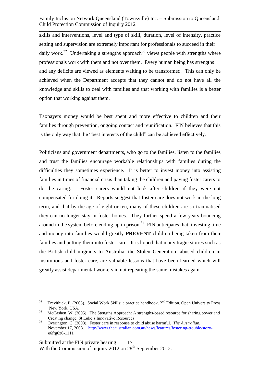skills and interventions, level and type of skill, duration, level of intensity, practice setting and supervision are extremely important for professionals to succeed in their daily work.<sup>32</sup> Undertaking a strengths approach<sup>33</sup> views people with strengths where professionals work with them and not over them. Every human being has strengths and any deficits are viewed as elements waiting to be transformed. This can only be achieved when the Department accepts that they cannot and do not have all the knowledge and skills to deal with families and that working with families is a better option that working against them.

Taxpayers money would be best spent and more effective to children and their families through prevention, ongoing contact and reunification. FIN believes that this is the only way that the "best interests of the child" can be achieved effectively.

Politicians and government departments, who go to the families, listen to the families and trust the families encourage workable relationships with families during the difficulties they sometimes experience. It is better to invest money into assisting families in times of financial crisis than taking the children and paying foster carers to do the caring. Foster carers would not look after children if they were not compensated for doing it. Reports suggest that foster care does not work in the long term, and that by the age of eight or ten, many of these children are so traumatised they can no longer stay in foster homes. They further spend a few years bouncing around in the system before ending up in prison.<sup>34</sup> FIN anticipates that investing time and money into families would greatly **PREVENT** children being taken from their families and putting them into foster care. It is hoped that many tragic stories such as the British child migrants to Australia, the Stolen Generation, abused children in institutions and foster care, are valuable lessons that have been learned which will greatly assist departmental workers in not repeating the same mistakes again.

 32 Trevithick, P. (2005). Social Work Skills: a practice handbook. 2<sup>nd</sup> Edition. Open University Press New York, USA.

<sup>33</sup> McCashen, W. (2005). The Stengths Approach: A strengths-based resource for sharing power and Creating change. St Luke's Innovative Resources

<sup>34</sup> Overington, C. (2008). Foster care in response to child abuse harmful. *The Australian.*  November 17, 2008. [http://www.theaustralian.com.au/news/features/fostering-trouble/story](http://www.theaustralian.com.au/news/features/fostering-trouble/story-) e6frg6z6-1111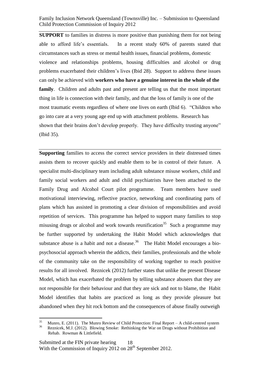**SUPPORT** to families in distress is more positive than punishing them for not being able to afford life's essentials. In a recent study 60% of parents stated that circumstances such as stress or mental health issues, financial problems, domestic violence and relationships problems, housing difficulties and alcohol or drug problems exacerbated their children's lives (Ibid 28). Support to address these issues can only be achieved with **workers who have a genuine interest in the whole of the family**. Children and adults past and present are telling us that the most important thing in life is connection with their family, and that the loss of family is one of the most traumatic events regardless of where one lives on earth (Ibid 6). "Children who go into care at a very young age end up with attachment problems. Research has shown that their brains don't develop properly. They have difficulty trusting anyone" (Ibid 35).

**Supporting** families to access the correct service providers in their distressed times assists them to recover quickly and enable them to be in control of their future. A specialist multi-disciplinary team including adult substance misuse workers, child and family social workers and adult and child psychiatrists have been attached to the Family Drug and Alcohol Court pilot programme. Team members have used motivational interviewing, reflective practice, networking and coordinating parts of plans which has assisted in promoting a clear division of responsibilities and avoid repetition of services. This programme has helped to support many families to stop misusing drugs or alcohol and work towards reunification<sup>35</sup> Such a programme may be further supported by undertaking the Habit Model which acknowledges that substance abuse is a habit and not a disease.<sup>36</sup> The Habit Model encourages a biopsychosocial approach wherein the addicts, their families, professionals and the whole of the community take on the responsibility of working together to reach positive results for all involved. Reznicek (2012) further states that unlike the present Disease Model, which has exacerbated the problem by telling substance abusers that they are not responsible for their behaviour and that they are sick and not to blame, the Habit Model identifies that habits are practiced as long as they provide pleasure but abandoned when they hit rock bottom and the consequences of abuse finally outweigh

 35 Munro, E. (2011). The Munro Review of Child Protection: Final Report – A child-centred system

<sup>36</sup> Reznicek, M.J. (2012). Blowing Smoke: Rethinking the War on Drugs without Prohibition and Rehab. Rowman & Littlefield.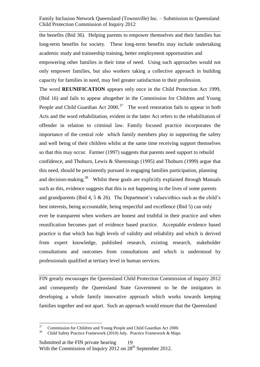the benefits (Ibid 36). Helping parents to empower themselves and their families has long-term benefits for society. These long-term benefits may include undertaking academic study and traineeship training, better employment opportunities and empowering other families in their time of need. Using such approaches would not only empower families, but also workers taking a collective approach in building

capacity for families in need, may feel greater satisfaction in their profession.

The word **REUNIFICATION** appears only once in the Child Protection Act 1999, (Ibid 16) and fails to appear altogether in the Commission for Children and Young People and Child Guardian Act  $2000$ <sup>37</sup> The word restoration fails to appear in both Acts and the word rehabilitation, evident in the latter Act refers to the rehabilitation of offender in relation to criminal law. Family focused practice incorporates the importance of the central role which family members play in supporting the safety and well being of their children whilst at the same time receiving support themselves so that this may occur. Farmer (1997) suggests that parents need support to rebuild confidence, and Thoburn, Lewis & Shemmings (1995) and Thoburn (1999) argue that this need, should be persistently pursued in engaging families participation, planning and decision-making.<sup>38</sup> Whilst these goals are explicitly explained through Manuals such as this, evidence suggests that this is not happening in the lives of some parents and grandparents (Ibid 4, 5 & 26). The Department's values/ethics such as the child's best interests, being accountable, being respectful and excellence (Ibid 5) can only ever be transparent when workers are honest and truthful in their practice and when reunification becomes part of evidence based practice. Acceptable evidence based practice is that which has high levels of validity and reliability and which is derived from expert knowledge, published research, existing research, stakeholder consultations and outcomes from consultations and which is understood by professionals qualified at tertiary level in human services.

FIN greatly encourages the Queensland Child Protection Commission of Inquiry 2012 and consequently the Queensland State Government to be the instigators in developing a whole family innovative approach which works towards keeping families together and not apart. Such an approach would ensure that the Queensland

<sup>&</sup>lt;sup>37</sup> Commission for Children and Young People and Child Guardian Act 2000.

<sup>38</sup> Child Safety Practice Framework (2010) July. Practice Framework & Maps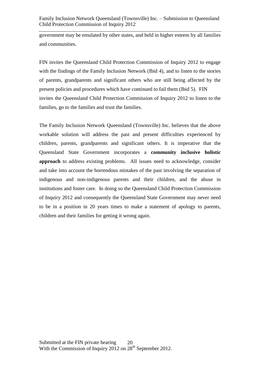government may be emulated by other states, and held in higher esteem by all families and communities.

FIN invites the Queensland Child Protection Commission of Inquiry 2012 to engage with the findings of the Family Inclusion Network (Ibid 4), and to listen to the stories of parents, grandparents and significant others who are still being affected by the present policies and procedures which have continued to fail them (Ibid 5). FIN invites the Queensland Child Protection Commission of Inquiry 2012 to listen to the families, go to the families and trust the families.

The Family Inclusion Network Queensland (Townsville) Inc. believes that the above workable solution will address the past and present difficulties experienced by children, parents, grandparents and significant others. It is imperative that the Queensland State Government incorporates a **community inclusive holistic approach** to address existing problems. All issues need to acknowledge, consider and take into account the horrendous mistakes of the past involving the separation of indigenous and non-indigenous parents and their children, and the abuse in institutions and foster care. In doing so the Queensland Child Protection Commission of Inquiry 2012 and consequently the Queensland State Government may never need to be in a position in 20 years times to make a statement of apology to parents, children and their families for getting it wrong again.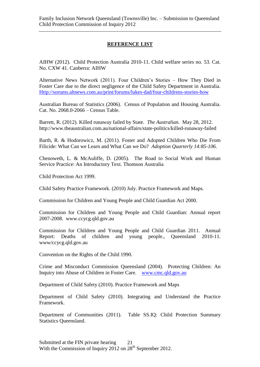### **REFERENCE LIST**

AIHW (2012). Child Protection Australia 2010-11. Child welfare series no. 53. Cat. No. CXW 41. Canberra: AIHW

Alternative News Network (2011). Four Children's Stories – How They Died in Foster Care due to the direct negligence of the Child Safety Department in Australia. [Http://sorums.altnews.com.au/print/forums/lukes-dad/four-childrens-stories-how](http://sorums.altnews.com.au/print/forums/lukes-dad/four-childrens-stories-how)

Australian Bureau of Statistics (2006). Census of Population and Housing Australia. Cat. No. 2068.0-2066 – Census Table.

Barrett, R. (2012). Killed runaway failed by State. *The Australian.* May 28, 2012. http://www.theaustralian.com.au/national-affairs/state-politics/killed-runaway-failed

Barth, R. & Hodorowicz, M. (2011). Foster and Adopted Children Who Die From Filicide: What Can we Learn and What Can we Do? *Adoption Quarterly 14:85-106.*

Chenoweth, L. & McAuliffe, D. (2005). The Road to Social Work and Human Service Practice: An Introductory Text. Thomson Australia

Child Protection Act 1999.

Child Safety Practice Framework. (2010) July. Practice Framework and Maps.

Commission for Children and Young People and Child Guardian Act 2000.

Commission for Children and Young People and Child Guardian: Annual report 2007-2008. www.ccycg.qld.gov.au

Commission for Children and Young People and Child Guardian 2011. Annual Report: Deaths of children and young people., Queensland 2010-11. www/ccycg.qld.gov.au

Convention on the Rights of the Child 1990.

Crime and Misconduct Commission Queensland (2004). Protecting Children: An Inquiry into Abuse of Children in Foster Care. [www.cmc.qld.gov.au](http://www.cmc.qld.gov.au/)

Department of Child Safety (2010). Practice Framework and Maps

Department of Child Safety (2010). Integrating and Understand the Practice Framework.

Department of Communities (2011). Table SS.IQ: Child Protection Summary Statistics Queensland.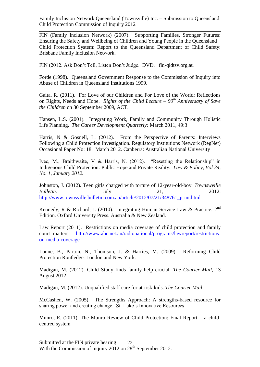FIN (Family Inclusion Network) (2007). Supporting Families, Stronger Futures: Ensuring the Safety and Wellbeing of Children and Young People in the Queensland Child Protection System: Report to the Queensland Department of Child Safety: Brisbane Family Inclusion Network.

FIN (2012. Ask Don't Tell, Listen Don't Judge. DVD. fin-qldtsv.org.au

Forde (1998). Queensland Government Response to the Commission of Inquiry into Abuse of Children in Queensland Institutions 1999.

Gaita, R. (2011). For Love of our Children and For Love of the World: Reflections on Rights, Needs and Hope. *Rights of the Child Lecture – 90th Anniversary of Save the Children* on 30 September 2009, ACT.

Hansen, L.S. (2001). Integrating Work, Family and Community Through Holistic Life Planning. *The Career Development Quarterly:* March 2011, 49:3

Harris, N & Gosnell, L. (2012). From the Perspective of Parents: Interviews Following a Child Protection Investigation. Regulatory Institutions Network (RegNet) Occasional Paper No: 18. March 2012. Canberra: Australian National University

Ivec, M., Braithwaite, V & Harris, N. (2012). "Resetting the Relationship" in Indigenous Child Protection: Public Hope and Private Reality. *Law & Policy, Vol 34, No. 1, January 2012.* 

Johnston, J. (2012). Teen girls charged with torture of 12-year-old-boy. *Townswville Bulletin.* **July 21,** 2012. [http://www.townsville.bulletin.com.au/article/2012/07/21/348761\\_print.html](http://www.townsville.bulletin.com.au/article/2012/07/21/348761_print.html)

Kennedy, R & Richard, J. (2010). Integrating Human Service Law & Practice. 2<sup>nd</sup> Edition. Oxford University Press. Australia & New Zealand.

Law Report (2011). Restrictions on media coverage of child protection and family court matters. [http://www.abc.net.au/radionational/programs/lawreport/restrictions](http://www.abc.net.au/radionational/programs/lawreport/restrictions-on-media-coverage)[on-media-coverage](http://www.abc.net.au/radionational/programs/lawreport/restrictions-on-media-coverage)

Lonne, B., Parton, N., Thomson, J. & Harries, M. (2009). Reforming Child Protection Routledge. London and New York.

Madigan, M. (2012). Child Study finds family help crucial. *The Courier Mail,* 13 August 2012

Madigan, M. (2012). Unqualified staff care for at-risk-kids. *The Courier Mail*

McCashen, W. (2005). The Strengths Approach: A strengths-based resource for sharing power and creating change. St. Luke's Innovative Resources

Munro, E. (2011). The Munro Review of Child Protection: Final Report – a childcentred system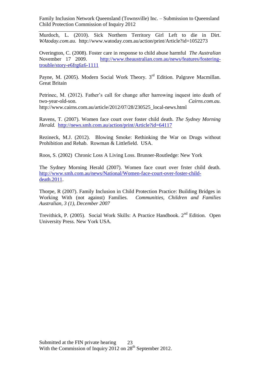Murdoch, L. (2010). Sick Northern Territory Girl Left to die in Dirt. *WAtoday.com.au.* http://www.watoday.com.au/action/print/Article?id=1052273

Overington, C. (2008). Foster care in response to child abuse harmful *The Australian* November 17 2009. [http://www.theaustralian.com.au/news/features/fostering](http://www.theaustralian.com.au/news/features/fostering-trouble/story-e6frg6z6-1111)[trouble/story-e6frg6z6-1111](http://www.theaustralian.com.au/news/features/fostering-trouble/story-e6frg6z6-1111)

Payne, M. (2005). Modern Social Work Theory.  $3<sup>rd</sup>$  Edition. Palgrave Macmillan. Great Britain

Petrinec, M. (2012). Father's call for change after harrowing inquest into death of two-year-old-son. *Cairns.com.au.*  http://www.cairns.com.au/article/2012/07/28/230525\_local-news.html

Ravens, T. (2007). Women face court over foster child death. *The Sydney Morning Herald.* <http://news.smh.com.au/action/print/Article?id=64117>

Rezineck, M.J. (2012). Blowing Smoke: Rethinking the War on Drugs without Prohibition and Rehab. Rowman & Littlefield. USA.

Roos, S. (2002) Chronic Loss A Living Loss. Brunner-Routledge: New York

The Sydney Morning Herald (2007). Women face court over frster child death. [http://www.smh.com.au/news/National/Women-face-court-over-foster-child](http://www.smh.com.au/news/National/Women-face-court-over-foster-child-death.2011)[death.2011.](http://www.smh.com.au/news/National/Women-face-court-over-foster-child-death.2011)

Thorpe, R (2007). Family Inclusion in Child Protection Practice: Building Bridges in Working With (not against) Families. *Communities, Children and Families Australian, 3 (1), December 2007*

Trevithick, P. (2005). Social Work Skills: A Practice Handbook. 2nd Edition. Open University Press. New York USA*.*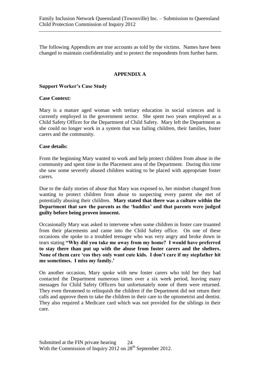The following Appendices are true accounts as told by the victims. Names have been changed to maintain confidentiality and to protect the respondents from further harm.

#### **APPENDIX A**

#### **Support Worker's Case Study**

#### **Case Context:**

Mary is a mature aged woman with tertiary education in social sciences and is currently employed in the government sector. She spent two years employed as a Child Safety Officer for the Department of Child Safety. Mary left the Department as she could no longer work in a system that was failing children, their families, foster carers and the community.

#### **Case details:**

From the beginning Mary wanted to work and help protect children from abuse in the community and spent time in the Placement area of the Department. During this time she saw some severely abused children waiting to be placed with appropriate foster carers.

Due to the daily stories of abuse that Mary was exposed to, her mindset changed from wanting to protect children from abuse to suspecting every parent she met of potentially abusing their children. **Mary stated that there was a culture within the Department that saw the parents as the 'baddies' and that parents were judged guilty before being proven innocent.** 

Occasionally Mary was asked to intervene when some children in foster care truanted from their placements and came into the Child Safety office. On one of these occasions she spoke to a troubled teenager who was very angry and broke down in tears stating **"Why did you take me away from my home? I would have preferred to stay there than put up with the abuse from foster carers and the shelters. None of them care 'cos they only want cute kids. I don't care if my stepfather hit me sometimes. I miss my family.'**

On another occasion, Mary spoke with new foster carers who told her they had contacted the Department numerous times over a six week period, leaving many messages for Child Safety Officers but unfortunately none of them were returned. They even threatened to relinquish the children if the Department did not return their calls and approve them to take the children in their care to the optometrist and dentist. They also required a Medicare card which was not provided for the siblings in their care.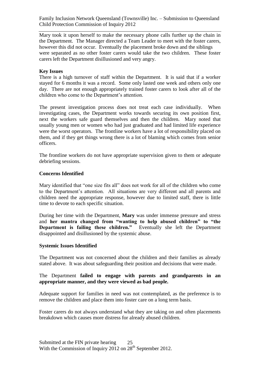Mary took it upon herself to make the necessary phone calls further up the chain in the Department. The Manager directed a Team Leader to meet with the foster carers, however this did not occur. Eventually the placement broke down and the siblings were separated as no other foster carers would take the two children. These foster carers left the Department disillusioned and very angry.

#### **Key Issues**

There is a high turnover of staff within the Department. It is said that if a worker stayed for 6 months it was a record. Some only lasted one week and others only one day. There are not enough appropriately trained foster carers to look after all of the children who come to the Department's attention.

The present investigation process does not treat each case individually. When investigating cases, the Department works towards securing its own position first, next the workers safe guard themselves and then the children. Mary noted that usually young men or women who had just graduated and had limited life experience were the worst operators. The frontline workers have a lot of responsibility placed on them, and if they get things wrong there is a lot of blaming which comes from senior officers.

The frontline workers do not have appropriate supervision given to them or adequate debriefing sessions.

#### **Concerns Identified**

Mary identified that "one size fits all" does not work for all of the children who come to the Department's attention. All situations are very different and all parents and children need the appropriate response, however due to limited staff, there is little time to devote to each specific situation.

During her time with the Department, **Mary** was under immense pressure and stress and **her mantra changed from "wanting to help abused children" to "the Department is failing these children."** Eventually she left the Department disappointed and disillusioned by the systemic abuse.

#### **Systemic Issues Identified**

The Department was not concerned about the children and their families as already stated above. It was about safeguarding their position and decisions that were made.

#### The Department **failed to engage with parents and grandparents in an appropriate manner, and they were viewed as bad people.**

Adequate support for families in need was not contemplated, as the preference is to remove the children and place them into foster care on a long term basis.

Foster carers do not always understand what they are taking on and often placements breakdown which causes more distress for already abused children.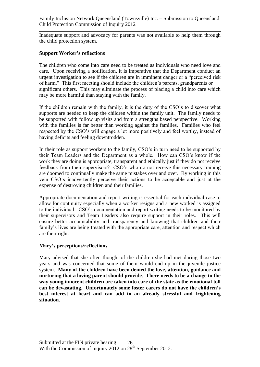Inadequate support and advocacy for parents was not available to help them through the child protection system.

#### **Support Worker's reflections**

The children who come into care need to be treated as individuals who need love and care. Upon receiving a notification, it is imperative that the Department conduct an urgent investigation to see if the children are in imminent danger or a "perceived risk of harm." This first meeting should include the children's parents, grandparents or significant others. This may eliminate the process of placing a child into care which may be more harmful than staying with the family.

If the children remain with the family, it is the duty of the CSO's to discover what supports are needed to keep the children within the family unit. The family needs to be supported with follow up visits and from a strengths based perspective. Working with the families is far better than working against the families. Families who feel respected by the CSO's will engage a lot more positively and feel worthy, instead of having deficits and feeling downtrodden.

In their role as support workers to the family, CSO's in turn need to be supported by their Team Leaders and the Department as a whole. How can CSO's know if the work they are doing is appropriate, transparent and ethically just if they do not receive feedback from their supervisors? CSO's who do not receive this necessary training are doomed to continually make the same mistakes over and over. By working in this vein CSO's inadvertently perceive their actions to be acceptable and just at the expense of destroying children and their families.

Appropriate documentation and report writing is essential for each individual case to allow for continuity especially when a worker resigns and a new worked is assigned to the individual. CSO's documentation and report writing needs to be monitored by their supervisors and Team Leaders also require support in their roles. This will ensure better accountability and transparency and knowing that children and their family's lives are being treated with the appropriate care, attention and respect which are their right.

#### **Mary's perceptions/reflections**

Mary advised that she often thought of the children she had met during those two years and was concerned that some of them would end up in the juvenile justice system. **Many of the children have been denied the love, attention, guidance and nurturing that a loving parent should provide**. **There needs to be a change to the way young innocent children are taken into care of the state as the emotional toll can be devastating. Unfortunately some foster carers do not have the children's best interest at heart and can add to an already stressful and frightening situation**.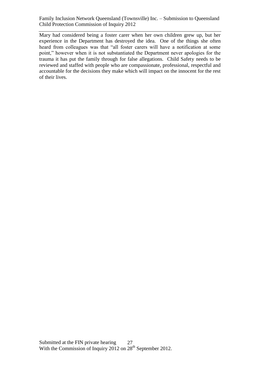Mary had considered being a foster carer when her own children grew up, but her experience in the Department has destroyed the idea. One of the things she often heard from colleagues was that "all foster carers will have a notification at some point," however when it is not substantiated the Department never apologies for the trauma it has put the family through for false allegations. Child Safety needs to be reviewed and staffed with people who are compassionate, professional, respectful and accountable for the decisions they make which will impact on the innocent for the rest of their lives.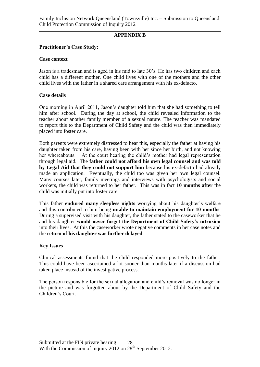#### **APPENDIX B**

#### **Practitioner's Case Study:**

#### **Case context**

Jason is a tradesman and is aged in his mid to late 30's. He has two children and each child has a different mother. One child lives with one of the mothers and the other child lives with the father in a shared care arrangement with his ex-defacto.

#### **Case details**

One morning in April 2011, Jason's daughter told him that she had something to tell him after school. During the day at school, the child revealed information to the teacher about another family member of a sexual nature. The teacher was mandated to report this to the Department of Child Safety and the child was then immediately placed into foster care.

Both parents were extremely distressed to hear this, especially the father at having his daughter taken from his care, having been with her since her birth, and not knowing her whereabouts. At the court hearing the child's mother had legal representation through legal aid. The **father could not afford his own legal counsel and was told by Legal Aid that they could not support him** because his ex-defacto had already made an application. Eventually, the child too was given her own legal counsel. Many courses later, family meetings and interviews with psychologists and social workers, the child was returned to her father. This was in fact **10 months after** the child was initially put into foster care.

This father **endured many sleepless nights** worrying about his daughter's welfare and this contributed to him being **unable to maintain employment for 10 months**. During a supervised visit with his daughter, the father stated to the caseworker that he and his daughter **would never forget the Department of Child Safety's intrusion** into their lives. At this the caseworker wrote negative comments in her case notes and the **return of his daughter was further delayed**.

#### **Key Issues**

Clinical assessments found that the child responded more positively to the father. This could have been ascertained a lot sooner than months later if a discussion had taken place instead of the investigative process.

The person responsible for the sexual allegation and child's removal was no longer in the picture and was forgotten about by the Department of Child Safety and the Children's Court.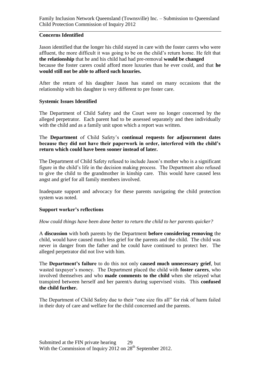#### **Concerns Identified**

Jason identified that the longer his child stayed in care with the foster carers who were affluent, the more difficult it was going to be on the child's return home. He felt that **the relationship** that he and his child had had pre-removal **would be changed** because the foster carers could afford more luxuries than he ever could, and that **he would still not be able to afford such luxuries.**

After the return of his daughter Jason has stated on many occasions that the relationship with his daughter is very different to pre foster care.

#### **Systemic Issues Identified**

The Department of Child Safety and the Court were no longer concerned by the alleged perpetrator. Each parent had to be assessed separately and then individually with the child and as a family unit upon which a report was written.

#### The **Department** of Child Safety's **continual requests for adjournment dates because they did not have their paperwork in order, interfered with the child's return which could have been sooner instead of later.**

The Department of Child Safety refused to include Jason's mother who is a significant figure in the child's life in the decision making process. The Department also refused to give the child to the grandmother in kinship care. This would have caused less angst and grief for all family members involved.

Inadequate support and advocacy for these parents navigating the child protection system was noted.

#### **Support worker's reflections**

#### *How could things have been done better to return the child to her parents quicker?*

A **discussion** with both parents by the Department **before considering removing** the child, would have caused much less grief for the parents and the child. The child was never in danger from the father and he could have continued to protect her. The alleged perpetrator did not live with him.

The **Department's failure** to do this not only **caused much unnecessary grief**, but wasted taxpayer's money. The Department placed the child with **foster carers**, who involved themselves and who **made comments to the child** when she relayed what transpired between herself and her parent/s during supervised visits. This **confused the child further.** 

The Department of Child Safety due to their "one size fits all" for risk of harm failed in their duty of care and welfare for the child concerned and the parents.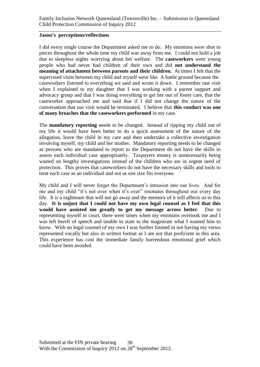#### **Jason's perceptions/reflections**

I did every single course the Department asked me to do. My emotions were shot to pieces throughout the whole time my child was away from me. I could not hold a job due to sleepless nights worrying about her welfare. The **caseworkers** were young people who had never had children of their own and did **not understand the meaning of attachment between parents and their children.** At times I felt that the supervised visits between my child and myself were like A battle ground because the caseworkers listened to everything we said and wrote it down. I remember one visit when I explained to my daughter that I was working with a parent support and advocacy group and that I was doing everything to get her out of foster care, that the caseworker approached me and said that if I did not change the nature of the conversation that our visit would be terminated. I believe that **this conduct was one of many breaches that the caseworkers performed** in my case.

The **mandatory reporting** needs to be changed. Instead of ripping my child out of my life it would have been better to do a quick assessment of the nature of the allegation, leave the child in my care and then undertake a collective investigation involving myself, my child and her mother. Mandatory reporting needs to be changed as persons who are mandated to report to the Department do not have the skills to assess each individual case appropriately. Taxpayers money is unnecessarily being wasted on lengthy investigations instead of the children who are in urgent need of protection. This proves that caseworkers do not have the necessary skills and tools to treat each case as an individual and not as one size fits everyone.

My child and I will never forget the Department's intrusion into our lives. And for me and my child "it's not over when it's over" resonates throughout our every day life. It is a nightmare that will not go away and the memory of it still affects us to this day. **It is unjust that I could not have my own legal counsel as I feel that this would have assisted me greatly to get my message across better**. Due to representing myself in court, there were times when my emotions overtook me and I was left bereft of speech and unable to state to the magistrate what I wanted him to know. With no legal counsel of my own I was further limited in not having my views represented vocally but also in written format as I am not that proficient in this area. This experience has cost the immediate family horrendous emotional grief which could have been avoided.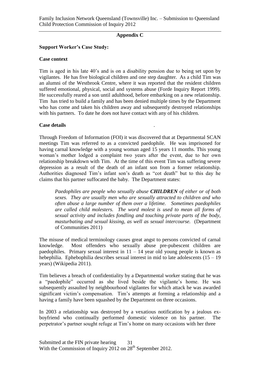#### **Appendix C**

#### **Support Worker's Case Study:**

#### **Case context**

Tim is aged in his late 40's and is on a disability pension due to being set upon by vigilantes. He has five biological children and one step daughter. As a child Tim was an alumni of the Westbrook Centre, where it was reported that the resident children suffered emotional, physical, social and systems abuse (Forde Inquiry Report 1999). He successfully reared a son until adulthood, before embarking on a new relationship. Tim has tried to build a family and has been denied multiple times by the Department who has come and taken his children away and subsequently destroyed relationships with his partners. To date he does not have contact with any of his children.

#### **Case details** .

Through Freedom of Information (FOI) it was discovered that at Departmental SCAN meetings Tim was referred to as a convicted paedophile. He was imprisoned for having carnal knowledge with a young woman aged 15 years 11 months. This young woman's mother lodged a complaint two years after the event, due to her own relationship breakdown with Tim. At the time of this event Tim was suffering severe depression as a result of the death of an infant son from a former relationship. Authorities diagnosed Tim's infant son's death as "cot death" but to this day he claims that his partner suffocated the baby. The Department states:

*Paedophiles are people who sexually abuse CHILDREN of either or of both sexes. They are usually men who are sexually attracted to children and who often abuse a large number of them over a lifetime. Sometimes paedophiles are called child molesters. The word molest is used to mean all forms of sexual activity and includes fondling and touching private parts of the body, masturbating and sexual kissing, as well as sexual intercourse.* (Department of Communities 2011)

The misuse of medical terminology causes great angst to persons convicted of carnal knowledge. Most offenders who sexually abuse pre-pubescent children are paedophiles. Primary sexual interest in  $11 - 14$  year old young people is known as hebephilia. Ephebophilia describes sexual interest in mid to late adolescents (15 – 19) years) (Wikipedia 2011).

Tim believes a breach of confidentiality by a Departmental worker stating that he was a "paedophile" occurred as she lived beside the vigilante's home. He was subsequently assaulted by neighbourhood vigilantes for which attack he was awarded significant victim's compensation. Tim's attempts at forming a relationship and a having a family have been squashed by the Department on three occasions.

In 2003 a relationship was destroyed by a vexatious notification by a jealous exboyfriend who continually performed domestic violence on his partner. The perpetrator's partner sought refuge at Tim's home on many occasions with her three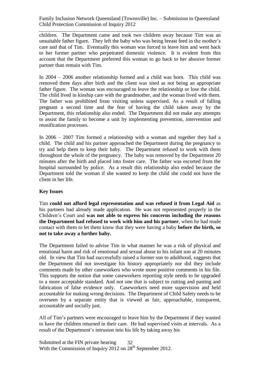children. The Department came and took two children away because Tim was an unsuitable father figure. They left the baby who was being breast feed in the mother's care and that of Tim. Eventually this woman was forced to leave him and went back to her former partner who perpetrated domestic violence. It is evident from this account that the Department preferred this woman to go back to her abusive former partner than remain with Tim.

In 2004 – 2006 another relationship formed and a child was born. This child was removed three days after birth and the client was sited as not being an appropriate father figure. The woman was encouraged to leave the relationship or lose the child. The child lived in kinship care with the grandmother, and the woman lived with them. The father was prohibited from visiting unless supervised. As a result of falling pregnant a second time and the fear of having the child taken away by the Department, this relationship also ended. The Department did not make any attempts to assist the family to become a unit by implementing prevention, intervention and reunification processes.

In 2006 – 2007 Tim formed a relationship with a woman and together they had a child. The child and his partner approached the Department during the pregnancy to try and help them to keep their baby. The Department refused to work with them throughout the whole of the pregnancy. The baby was removed by the Department 20 minutes after the birth and placed into foster care. The father was escorted from the hospital surrounded by police. As a result this relationship also ended because the Department told the woman if she wanted to keep the child she could not have the client in her life.

#### **Key Issues**

Tim **could not afford legal representation and was refused it from Legal Aid** as his partners had already made application. He was not represented properly in the Children's Court and **was not able to express his concerns including the reasons the Department had refused to work with him and his partner**, when he had made contact with them to let them know that they were having a baby **before the birth, so not to take away a further baby.** 

The Department failed to advise Tim in what manner he was a risk of physical and emotional harm and risk of emotional and sexual abuse to his infant son at 20 minutes old. In view that Tim had successfully raised a former son to adulthood, suggests that the Department did not investigate his history appropriately nor did they include comments made by other caseworkers who wrote more positive comments in his file. This supports the notion that some caseworkers reporting style needs to be upgraded to a more acceptable standard. And not one that is subject to cutting and pasting and fabrication of false evidence only. Caseworkers need more supervision and held accountable for making wrong decisions. The Department of Child Safety needs to be overseen by a separate entity that is viewed as fair, approachable, transparent, accountable and socially just.

All of Tim's partners were encouraged to leave him by the Department if they wanted to have the children returned in their care. He had supervised visits at intervals. As a result of the Department's intrusion into his life by taking away his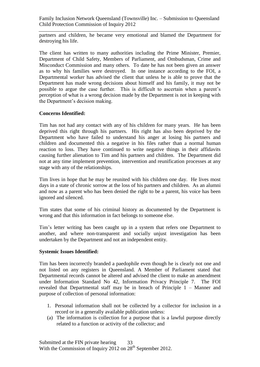partners and children, he became very emotional and blamed the Department for destroying his life.

The client has written to many authorities including the Prime Minister, Premier, Department of Child Safety, Members of Parliament, and Ombudsman, Crime and Misconduct Commission and many others. To date he has not been given an answer as to why his families were destroyed. In one instance according to the FOI, a Departmental worker has advised the client that unless he is able to prove that the Department has made wrong decisions about himself and his family, it may not be possible to argue the case further. This is difficult to ascertain when a parent's perception of what is a wrong decision made by the Department is not in keeping with the Department's decision making.

#### **Concerns Identified:**

Tim has not had any contact with any of his children for many years. He has been deprived this right through his partners. His right has also been deprived by the Department who have failed to understand his anger at losing his partners and children and documented this a negative in his files rather than a normal human reaction to loss. They have continued to write negative things in their affidavits causing further alienation to Tim and his partners and children. The Department did not at any time implement prevention, intervention and reunification processes at any stage with any of the relationships.

Tim lives in hope that he may be reunited with his children one day. He lives most days in a state of chronic sorrow at the loss of his partners and children. As an alumni and now as a parent who has been denied the right to be a parent, his voice has been ignored and silenced.

Tim states that some of his criminal history as documented by the Department is wrong and that this information in fact belongs to someone else.

Tim's letter writing has been caught up in a system that refers one Department to another, and where non-transparent and socially unjust investigation has been undertaken by the Department and not an independent entity.

#### **Systemic Issues Identified:**

Tim has been incorrectly branded a paedophile even though he is clearly not one and not listed on any registers in Queensland. A Member of Parliament stated that Departmental records cannot be altered and advised the client to make an amendment under Information Standard No 42, Information Privacy Principle 7. The FOI revealed that Departmental staff may be in breach of Principle 1 – Manner and purpose of collection of personal information:

- 1. Personal information shall not be collected by a collector for inclusion in a record or in a generally available publication unless:
- (a) The information is collection for a purpose that is a lawful purpose directly related to a function or activity of the collector; and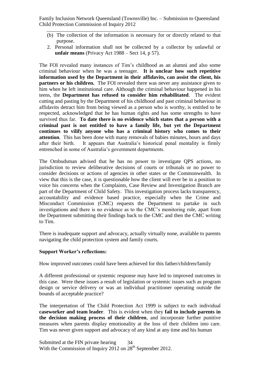- (b) The collection of the information is necessary for or directly related to that purpose.
- 2. Personal information shall not be collected by a collector by unlawful or **unfair means** (Privacy Act 1988 – Sect 14, p 57).

The FOI revealed many instances of Tim's childhood as an alumni and also some criminal behaviour when he was a teenager. **It is unclear how such repetitive information used by the Department in their affidavits, can assist the client, his partners or his children.** The FOI revealed there was never any assistance given to him when he left institutional care. Although the criminal behaviour happened in his teens, the **Department has refused to consider him rehabilitated**. The evident cutting and pasting by the Department of his childhood and past criminal behaviour in affidavits detract him from being viewed as a person who is worthy, is entitled to be respected, acknowledged that he has human rights and has some strengths to have survived thus far. **To date there is no evidence which states that a person with a criminal past is not entitled to have a family life, but yet the Department continues to vilify anyone who has a criminal history who comes to their attention**. This has been done with many removals of babies minutes, hours and days after their birth. It appears that Australia's historical penal mentality is firmly entrenched in some of Australia's government departments.

The Ombudsman advised that he has no power to investigate QPS actions, no jurisdiction to review deliberative decisions of courts or tribunals or no power to consider decisions or actions of agencies in other states or the Commonwealth. In view that this is the case, it is questionable how the client will ever be in a position to voice his concerns when the Complaints, Case Review and Investigation Branch are part of the Department of Child Safety. This investigation process lacks transparency, accountability and evidence based practice, especially when the Crime and Misconduct Commission (CMC) requests the Department to partake in such investigations and there is no evidence as to the CMC's monitoring role, apart from the Department submitting their findings back to the CMC and then the CMC writing to Tim.

There is inadequate support and advocacy, actually virtually none, available to parents navigating the child protection system and family courts.

#### **Support Worker's reflections:**

How improved outcomes could have been achieved for this father/children/family

A different professional or systemic response may have led to improved outcomes in this case. Were these issues a result of legislation or systemic issues such as program design or service delivery or was an individual practitioner operating outside the bounds of acceptable practice?

The interpretation of The Child Protection Act 1999 is subject to each individual **caseworker and team leader**. This is evident when they **fail to include parents in the decision making process of their children**, and incorporate further punitive measures when parents display emotionality at the loss of their children into care. Tim was never given support and advocacy of any kind at any time and his human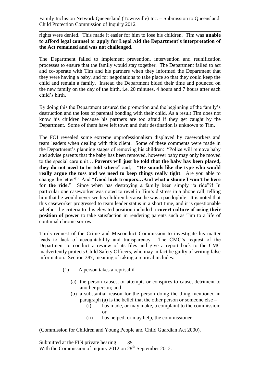rights were denied. This made it easier for him to lose his children. Tim was **unable to afford legal counsel or apply for Legal Aid the Department's interpretation of the Act remained and was not challenged.** 

The Department failed to implement prevention, intervention and reunification processes to ensure that the family would stay together. The Department failed to act and co-operate with Tim and his partners when they informed the Department that they were having a baby, and for negotiations to take place so that they could keep the child and remain a family. Instead the Department bided their time and pounced on the new family on the day of the birth, i.e. 20 minutes, 4 hours and 7 hours after each child's birth.

By doing this the Department ensured the promotion and the beginning of the family's destruction and the loss of parental bonding with their child. As a result Tim does not know his children because his partners are too afraid if they get caught by the Department. Some of them have left town and their destination is unknown to Tim.

The FOI revealed some extreme unprofessionalism displayed by caseworkers and team leaders when dealing with this client. Some of these comments were made in the Department's planning stages of removing his children: "Police will remove baby and advise parents that the baby has been removed, however baby may only be moved to the special care unit….**Parents will just be told that the baby has been placed, they do not need to be told where"** and; "**He sounds like the type who would really argue the toss and we need to keep things really tight**. Are you able to change the letter?" And **"Good luck troopers…And what a shame I won't be here for the ride."** Since when has destroying a family been simply "a ride"?! In particular one caseworker was noted to revel in Tim's distress in a phone call, telling him that he would never see his children because he was a paedophile. It is noted that this caseworker progressed to team leader status in a short time, and it is questionable whether the criteria to this elevated position included a **covert culture of using their position of power** to take satisfaction in rendering parents such as Tim to a life of continual chronic sorrow.

Tim's request of the Crime and Misconduct Commission to investigate his matter leads to lack of accountability and transparency. The CMC's request of the Department to conduct a review of its files and give a report back to the CMC inadvertently protects Child Safety Officers, who may in fact be guilty of writing false information. Section 387, meaning of taking a reprisal includes:

- (1) A person takes a reprisal if
	- (a) the person causes, or attempts or conspires to cause, detriment to another person; and
	- (b) a substantial reason for the person doing the thing mentioned in paragraph (a) is the belief that the other person or someone else –
		- (i) has made, or may make, a complaint to the commission; or
		- (ii) has helped, or may help, the commissioner

(Commission for Children and Young People and Child Guardian Act 2000).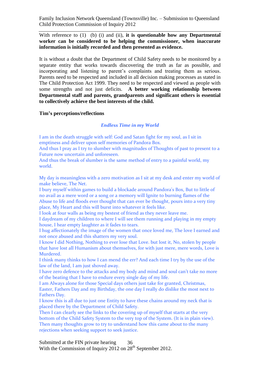With reference to (1) (b) (i) and (ii), **it is questionable how any Departmental worker can be considered to be helping the commissioner, when inaccurate information is initially recorded and then presented as evidence.** 

It is without a doubt that the Department of Child Safety needs to be monitored by a separate entity that works towards discovering the truth as far as possible, and incorporating and listening to parent's complaints and treating them as serious. Parents need to be respected and included in all decision making processes as stated in The Child Protection Act 1999. They need to be respected and viewed as people with some strengths and not just deficits. **A better working relationship between Departmental staff and parents, grandparents and significant others is essential to collectively achieve the best interests of the child.** 

#### **Tim's perceptions/reflections**

#### *Endless Time in my World*

I am in the death struggle with self: God and Satan fight for my soul, as I sit in emptiness and deliver upon self memories of Pandora Box.

And thus I pray as I try to slumber with magnitudes of Thoughts of past to present to a Future now uncertain and unforeseen.

And thus the break of slumber is the same method of entry to a painful world, my world.

My day is meaningless with a zero motivation as I sit at my desk and enter my world of make believe, The Net.

I bury myself within games to build a blockade around Pandora's Box, But to little of no avail as a mere word or a song or a memory will Ignite to burning flames of the Abuse to life and floods ever thought that can ever be thought, pours into a very tiny place, My Heart and this will burst into whatever it feels like.

I look at four walls as being my bestest of friend as they never leave me.

I daydream of my children to where I will see them running and playing in my empty house, I hear empty laughter as it fades to tears.

I hug affectionately the image of the women that once loved me, The love I earned and not once abused and this shatters my very soul.

I know I did Nothing, Nothing to ever lose that Love. but lost it, No, stolen by people that have lost all Humanism about themselves, for with just mere, mere words, Love is Murdered.

I think many thinks to how I can mend the err? And each time I try by the use of the law of the land, I am just shoved away.

I have zero defence to the attacks and my body and mind and soul can't take no more of the beating that I have to endure every single day of my life.

I am Always alone for those Special days others just take for granted, Christmas, Easter, Fathers Day and my Birthday, the one day I really do dislike the most next to Fathers Day.

I know this is all due to just one Entity to have these chains around my neck that is placed there by the Department of Child Safety.

Then I can clearly see the links to the covering up of myself that starts at the very bottom of the Child Safety System to the very top of the System. (It is in plain view). Then many thoughts grow to try to understand how this came about to the many rejections when seeking support to seek justice.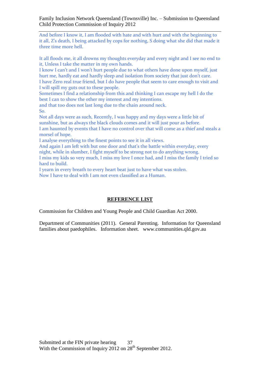And before I know it, I am flooded with hate and with hurt and with the beginning to it all, Z's death, I being attacked by cops for nothing, S doing what she did that made it three time more hell.

It all floods me, it all drowns my thoughts everyday and every night and I see no end to it, Unless I take the matter in my own hands.

I know I can't and I won't hurt people due to what others have done upon myself, just hurt me, hardly eat and hardly sleep and isolation from society that just don't care. I have Zero real true friend, but I do have people that seem to care enough to visit and I will spill my guts out to these people.

Sometimes I find a relationship from this and thinking I can escape my hell I do the best I can to show the other my interest and my intentions.

and that too does not last long due to the chain around neck. So.

Not all days were as such, Recently, I was happy and my days were a little bit of sunshine, but as always the black clouds comes and it will just pour as before. I am haunted by events that I have no control over that will come as a thief and steals a morsel of hope.

I analyse everything to the finest points to see it in all views.

And again I am left with but one door and that's the battle within everyday, every night, while in slumber, I fight myself to be strong not to do anything wrong. I miss my kids so very much, I miss my love I once had, and I miss the family I tried so hard to build.

I yearn in every breath to every heart beat just to have what was stolen.

Now I have to deal with I am not even classified as a Human.

#### **REFERENCE LIST**

Commission for Children and Young People and Child Guardian Act 2000.

Department of Communities (2011). General Parenting. Information for Queensland families about paedophiles. Information sheet. www.communities.qld.gov.au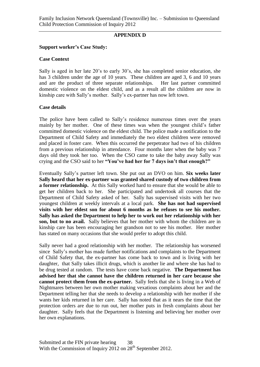#### **APPENDIX D**

#### **Support worker's Case Study:**

#### **Case Context**

Sally is aged in her late 20's to early 30's, she has completed senior education, she has 3 children under the age of 10 years. These children are aged 3, 6 and 10 years and are the product of three separate relationships. Her last partner committed domestic violence on the eldest child, and as a result all the children are now in kinship care with Sally's mother. Sally's ex-partner has now left town.

#### **Case details**

The police have been called to Sally's residence numerous times over the years mainly by her mother. One of these times was when the youngest child's father committed domestic violence on the eldest child. The police made a notification to the Department of Child Safety and immediately the two eldest children were removed and placed in foster care. When this occurred the perpetrator had two of his children from a previous relationship in attendance. Four months later when the baby was 7 days old they took her too. When the CSO came to take the baby away Sally was crying and the CSO said to her **"You've had her for 7 days isn't that enough?"** 

Eventually Sally's partner left town. She put out an DVO on him. **Six weeks later Sally heard that her ex-partner was granted shared custody of two children from a former relationship.** At this Sally worked hard to ensure that she would be able to get her children back to her. She participated and undertook all courses that the Department of Child Safety asked of her. Sally has supervised visits with her two youngest children at weekly intervals at a local park. **She has not had supervised visits with her eldest son for about 6 months as he refuses to see his mother. Sally has asked the Department to help her to work out her relationship with her son, but to no avail.** Sally believes that her mother with whom the children are in kinship care has been encouraging her grandson not to see his mother. Her mother has stated on many occasions that she would prefer to adopt this child.

Sally never had a good relationship with her mother. The relationship has worsened since Sally's mother has made further notifications and complaints to the Department of Child Safety that, the ex-partner has come back to town and is living with her daughter, that Sally takes illicit drugs, which is another lie and where she has had to be drug tested at random. The tests have come back negative. **The Department has advised her that she cannot have the children returned in her care because she cannot protect them from the ex-partner.** Sally feels that she is living in a Web of Nightmares between her own mother making vexatious complaints about her and the Department telling her that she needs to develop a relationship with her mother if she wants her kids returned in her care. Sally has noted that as it nears the time that the protection orders are due to run out, her mother puts in fresh complaints about her daughter. Sally feels that the Department is listening and believing her mother over her own explanations.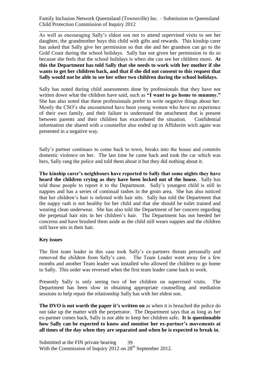As well as encouraging Sally's eldest son not to attend supervised visits to see her daughter, the grandmother buys this child with gifts and rewards. This kinship carer has asked that Sally give her permission so that she and her grandson can go to the Gold Coast during the school holidays. Sally has not given her permission to do so because she feels that the school holidays is when she can see her children more**. At this the Department has told Sally that she needs to work with her mother if she wants to get her children back, and that if she did not consent to this request that Sally would not be able to see her other two children during the school holidays.** 

Sally has noted during child assessments done by professionals that they have not written down what the children have said, such as **"I want to go home to mummy."** She has also noted that these professionals prefer to write negative things about her. Mostly the CSO's she encountered have been young women who have no experience of their own family, and their failure to understand the attachment that is present between parents and their children has exacerbated the situation. Confidential information she shared with a counsellor also ended up in Affidavits wich again was presented in a negative way.

Sally's partner continues to come back to town, breaks into the house and commits domestic violence on her. The last time he came back and took the car which was hers, Sally rang the police and told them about it but they did nothing about it.

**The kinship carer's neighbours have reported to Sally that some nights they have heard the children crying as they have been locked out of the house.** Sally has told these people to report it to the Department. Sally's youngest child is still in nappies and has a series of continual rashes in the groin area. She has also noticed that her children's hair is infested with hair nits. Sally has told the Department that the nappy rash is not healthy for her child and that she should be toilet trained and wearing clean underwear. She has also told the Department of her concern regarding the perpetual hair nits in her children's hair. The Department has not heeded her concerns and have brushed them aside as the child still wears nappies and the children still have nits in their hair.

#### **Key issues**

The first team leader in this case took Sally's ex-partners threats personally and removed the children from Sally's care. The Team Leader went away for a few months and another Team leader was installed who allowed the children to go home to Sally. This order was reversed when the first team leader came back to work.

Presently Sally is only seeing two of her children on supervised visits. The Department has been slow in obtaining appropriate counselling and mediation sessions to help repair the relationship Sally has with her eldest son.

**The DVO is not worth the paper it's written on** as when it is breached the police do not take up the matter with the perpetrator. The Department says that as long as her ex-partner comes back, Sally is not able to keep her children safe**. It is questionable how Sally can be expected to know and monitor her ex-partner's movements at all times of the day when they are separated and when he is expected to break in**.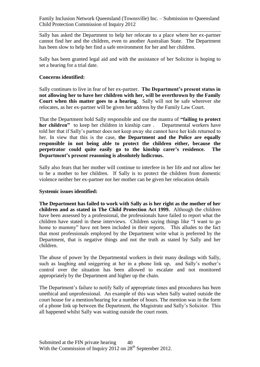Sally has asked the Department to help her relocate to a place where her ex-partner cannot find her and the children, even to another Australian State. The Department has been slow to help her find a safe environment for her and her children.

Sally has been granted legal aid and with the assistance of her Solicitor is hoping to set a hearing for a trial date.

#### **Concerns identified:**

Sally continues to live in fear of her ex-partner. **The Department's present status in not allowing her to have her children with her, will be overthrown by the Family Court when this matter goes to a hearing.** Sally will not be safe wherever she relocates, as her ex-partner will be given her address by the Family Law Court.

That the Department hold Sally responsible and use the mantra of **"failing to protect her children"** to keep her children in kinship care . Departmental workers have told her that if Sally's partner does not keep away she cannot have her kids returned to her. In view that this is the case, **the Department and the Police are equally responsible in not being able to protect the children either, because the perpetrator could quite easily go to the kinship carer's residence. The Department's present reasoning is absolutely ludicrous.** 

Sally also fears that her mother will continue to interfere in her life and not allow her to be a mother to her children. If Sally is to protect the children from domestic violence neither her ex-partner nor her mother can be given her relocation details

#### **Systemic issues identified:**

**The Department has failed to work with Sally as is her right as the mother of her children and as stated in The Child Protection Act 1999.** Although the children have been assessed by a professional, the professionals have failed to report what the children have stated in these interviews. Children saying things like "I want to go home to mummy" have not been included in their reports. This alludes to the fact that most professionals employed by the Department write what is preferred by the Department, that is negative things and not the truth as stated by Sally and her children.

The abuse of power by the Departmental workers in their many dealings with Sally, such as laughing and sniggering at her in a phone link up, and Sally's mother's control over the situation has been allowed to escalate and not monitored appropriately by the Department and higher up the chain.

The Department's failure to notify Sally of appropriate times and procedures has been unethical and unprofessional. An example of this was when Sally waited outside the court house for a mention/hearing for a number of hours. The mention was in the form of a phone link up between the Department, the Magistrate and Sally's Solicitor. This all happened whilst Sally was waiting outside the court room.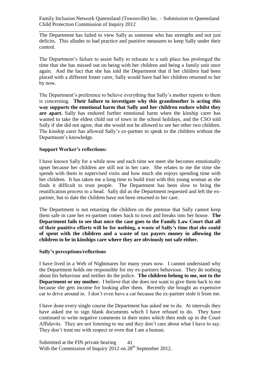The Department has failed to view Sally as someone who has strengths and not just deficits. This alludes to bad practice and punitive measures to keep Sally under their control.

The Department's failure to assist Sally to relocate to a safe place has prolonged the time that she has missed out on being with her children and being a family unit once again. And the fact that she has told the Department that if her children had been placed with a different foster carer, Sally would have had her children returned to her by now.

The Department's preference to believe everything that Sally's mother reports to them is concerning. **Their failure to investigate why this grandmother is acting this way supports the emotional harm that Sally and her children endure whilst they are apart.** Sally has endured further emotional harm when the kinship carer has wanted to take the eldest child out of town in the school holidays, and the CSO told Sally if she did not agree, that she would not be allowed to see her other two children. The kinship carer has allowed Sally's ex-partner to speak to the children without the Department's knowledge.

#### **Support Worker's reflections:**

I have known Sally for a while now and each time we meet she becomes emotionally upset because her children are still not in her care. She relates to me the time she spends with them in supervised visits and how much she enjoys spending time with her children. It has taken me a long time to build trust with this young woman as she finds it difficult to trust people. The Department has been slow to bring the reunification process to a head. Sally did as the Department requested and left the expartner, but to date the children have not been returned to her care.

The Department is not returning the children on the premise that Sally cannot keep them safe in case her ex-partner comes back to town and breaks into her house. **The Department fails to see that once the case goes to the Family Law Court that all of their punitive efforts will be for nothing, a waste of Sally's time that she could of spent with the children and a waste of tax payers money in allowing the children to be in kinships care where they are obviously not safe either.** 

#### **Sally's perceptions/reflections**

I have lived in a Web of Nightmares for many years now. I cannot understand why the Department holds me responsible for my ex-partners behaviour. They do nothing about his behaviour and neither do the police. **The children belong to me, not to the Department or my mother.** I believe that she does not want to give them back to me because she gets income for looking after them. Recently she bought an expensive car to drive around in. I don't even have a car because the ex-partner stole it from me.

I have done every single course the Department has asked me to do. At intervals they have asked me to sign blank documents which I have refused to do. They have continued to write negative comments in their notes which then ends up in the Court Affidavits. They are not listening to me and they don't care about what I have to say. They don't treat me with respect or even that I am a human.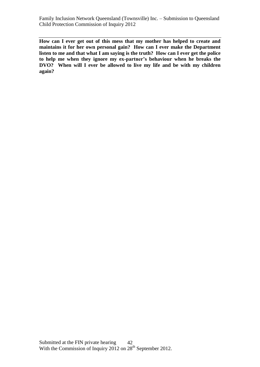**How can I ever get out of this mess that my mother has helped to create and maintains it for her own personal gain? How can I ever make the Department listen to me and that what I am saying is the truth? How can I ever get the police to help me when they ignore my ex-partner's behaviour when he breaks the DVO? When will I ever be allowed to live my life and be with my children again?**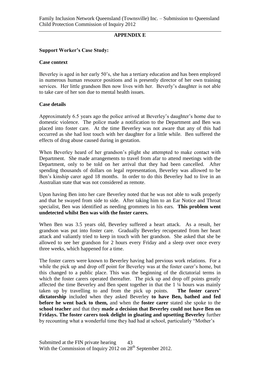#### **APPENDIX E**

#### **Support Worker's Case Study:**

#### **Case context**

Beverley is aged in her early 50's, she has a tertiary education and has been employed in numerous human resource positions and is presently director of her own training services. Her little grandson Ben now lives with her. Beverly's daughter is not able to take care of her son due to mental health issues.

#### **Case details**

Approximately 6.5 years ago the police arrived at Beverley's daughter's home due to domestic violence. The police made a notification to the Department and Ben was placed into foster care. At the time Beverley was not aware that any of this had occurred as she had lost touch with her daughter for a little while. Ben suffered the effects of drug abuse caused during in gestation.

When Beverley heard of her grandson's plight she attempted to make contact with Department. She made arrangements to travel from afar to attend meetings with the Department, only to be told on her arrival that they had been cancelled. After spending thousands of dollars on legal representation, Beverley was allowed to be Ben's kinship carer aged 18 months. In order to do this Beverley had to live in an Australian state that was not considered as remote.

Upon having Ben into her care Beverley noted that he was not able to walk properly and that he swayed from side to side. After taking him to an Ear Notice and Throat specialist, Ben was identified as needing grommets in his ears. **This problem went undetected whilst Ben was with the foster carers.** 

When Ben was 3.5 years old, Beverley suffered a heart attack. As a result, her grandson was put into foster care. Gradually Beverley recuperated from her heart attack and valiantly tried to keep in touch with her grandson. She asked that she be allowed to see her grandson for 2 hours every Friday and a sleep over once every three weeks, which happened for a time.

The foster carers were known to Beverley having had previous work relations. For a while the pick up and drop off point for Beverley was at the foster carer's home, but this changed to a public place. This was the beginning of the dictatorial terms in which the foster carers operated thereafter. The pick up and drop off points greatly affected the time Beverley and Ben spent together in that the 1 ¼ hours was mainly taken up by travelling to and from the pick up points. **The foster carers' dictatorship** included when they asked Beverley **to have Ben, bathed and fed before he went back to them,** and when the **foster carer** stated she spoke to the **school teacher** and that they **made a decision that Beverley could not have Ben on Fridays. The foster carers took delight in gloating and upsetting Beverley** further by recounting what a wonderful time they had had at school, particularly "Mother's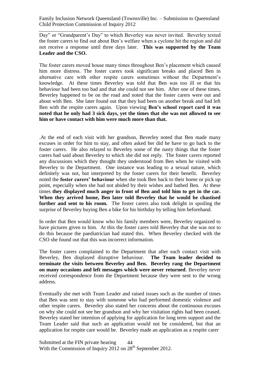Day" or "Grandparent's Day" to which Beverley was never invited. Beverley texted the foster carers to find out about Ben's welfare when a cyclone hit the region and did not receive a response until three days later. **This was supported by the Team Leader and the CSO.** 

The foster carers moved house many times throughout Ben's placement which caused him more distress. The foster carers took significant breaks and placed Ben in alternative care with other respite carers sometimes without the Department's knowledge. At these times Beverley was told that Ben was too ill or that his behaviour had been too bad and that she could not see him. After one of these times, Beverley happened to be on the road and noted that the foster carers were out and about with Ben. She later found out that they had been on another break and had left Ben with the respite carers again. Upon viewing **Ben's school report card it was noted that he only had 3 sick days, yet the times that she was not allowed to see him or have contact with him were much more than that.** 

.At the end of each visit with her grandson, Beverley noted that Ben made many excuses in order for him to stay, and often asked her did he have to go back to the foster carers. He also relayed to Beverley some of the nasty things that the foster carers had said about Beverley to which she did not reply. The foster carers reported any discussions which they thought they understood from Ben when he visited with Beverley to the Department. One instance was leading to a sexual nature, which definitely was not, but interpreted by the foster carers for their benefit. Beverley noted the **foster carers' behaviour** when she took Ben back to their home or pick up point, especially when she had not abided by their wishes and bathed Ben. At these times **they displayed much anger in front of Ben and told him to get in the car. When they arrived home, Ben later told Beverley that he would be chastised further and sent to his room.** The foster carers also took delight in spoiling the surprise of Beverley buying Ben a bike for his birthday by telling him beforehand.

In order that Ben would know who his family members were, Beverley organized to have pictures given to him. At this the foster cares told Beverley that she was not to do this because the paediatrician had stated this. When Beverley checked with the CSO she found out that this was incorrect information.

The foster carers complained to the Department that after each contact visit with Beverley, Ben displayed disruptive behaviour. **The Team leader decided to terminate the visits between Beverley and Ben. Beverley rang the Department on many occasions and left messages which were never returned**. Beverley never received correspondence from the Department because they were sent to the wrong address.

Eventually she met with Team Leader and raised issues such as the number of times that Ben was sent to stay with someone who had performed domestic violence and other respite carers. Beverley also stated her concerns about the continuous excuses on why she could not see her grandson and why her visitation rights had been ceased. Beverley stated her intention of applying for application for long term support and the Team Leader said that such an application would not be considered, but that an application for respite care would be. Beverley made an application as a respite carer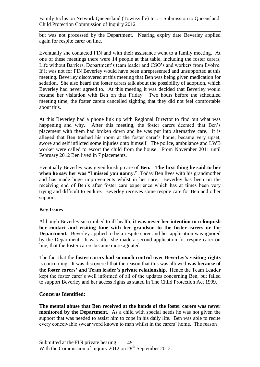but was not processed by the Department. Nearing expiry date Beverley applied again for respite carer on line.

Eventually she contacted FIN and with their assistance went to a family meeting. At one of these meetings there were 14 people at that table, including the foster carers, Life without Barriers, Department's team leader and CSO's and workers from Evolve. If it was not for FIN Beverley would have been unrepresented and unsupported at this meeting. Beverley discovered at this meeting that Ben was being given medication for sedation. She also heard the foster carers talk about the possibility of adoption, which Beverley had never agreed to. At this meeting it was decided that Beverley would resume her visitation with Ben on that Friday. Two hours before the scheduled meeting time, the foster carers cancelled sighting that they did not feel comfortable about this.

At this Beverley had a phone link up with Regional Director to find out what was happening and why. After this meeting, the foster carers deemed that Ben's placement with them had broken down and he was put into alternative care. It is alleged that Ben trashed his room at the foster carer's home, became very upset, swore and self inflicted some injuries onto himself. The police, ambulance and LWB worker were called to escort the child from the house. From November 2011 until February 2012 Ben lived in 7 placements.

Eventually Beverley was given kinship care of **Ben. The first thing he said to her when he saw her was "I missed you nanny."** Today Ben lives with his grandmother and has made huge improvements whilst in her care. Beverley has been on the receiving end of Ben's after foster care experience which has at times been very trying and difficult to endure. Beverley receives some respite care for Ben and other support.

#### **Key Issues**

Although Beverley succumbed to ill health, **it was never her intention to relinquish her contact and visiting time with her grandson to the foster carers or the Department.** Beverley applied to be a respite carer and her application was ignored by the Department. It was after she made a second application for respite carer on line, that the foster carers became more agitated.

The fact that the **foster carers had so much control over Beverley's visiting rights** is concerning. It was discovered that the reason that this was allowed **was because of the foster carers' and Team leader's private relationship.** Hence the Team Leader kept the foster carer's well informed of all of the updates concerning Ben, but failed to support Beverley and her access rights as stated in The Child Protection Act 1999.

#### **Concerns Identified:**

**The mental abuse that Ben received at the hands of the foster carers was never monitored by the Department.** As a child with special needs he was not given the support that was needed to assist him to cope in his daily life. Ben was able to recite every conceivable swear word known to man whilst in the carers' home. The reason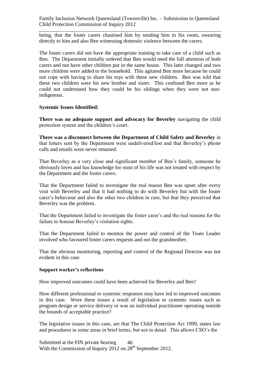being, that the foster carers chastised him by sending him to his room, swearing directly to him and also Ben witnessing domestic violence between the carers.

The foster carers did not have the appropriate training to take care of a child such as Ben. The Department initially ordered that Ben would need the full attention of both carers and not have other children put in the same house. This later changed and two more children were added to the household. This agitated Ben more because he could not cope with having to share his toys with these new children. Ben was told that these two children were his new brother and sister. This confused Ben more as he could not understand how they could be his siblings when they were not nonindigenous.

#### **Systemic Issues Identified:**

**There was no adequate support and advocacy for Beverley** navigating the child protection system and the children's court.

**There was a disconnect between the Department of Child Safety and Beverley** in that letters sent by the Department were undelivered/lost and that Beverley's phone calls and emails were never returned.

That Beverley as a very close and significant member of Ben's family, someone he obviously loves and has knowledge for most of his life was not treated with respect by the Department and the foster carers.

That the Department failed to investigate the real reason Ben was upset after every visit with Beverley and that it had nothing to do with Beverley but with the foster carer's behaviour and also the other two children in care, but that they perceived that Beverley was the problem.

That the Department failed to investigate the foster carer's and the real reasons for the failure to honour Beverley's visitation rights.

That the Department failed to monitor the power and control of the Team Leader involved who favoured foster carers requests and not the grandmother.

That the obvious monitoring, reporting and control of the Regional Director was not evident in this case.

#### **Support worker's reflections**

How improved outcomes could have been achieved for Beverley and Ben?

How different professional or systemic responses may have led to improved outcomes in this case. Were these issues a result of legislation or systemic issues such as program design or service delivery or was an individual practitioner operating outside the bounds of acceptable practice?

The legislative issues in this case, are that The Child Protection Act 1999, states law and procedures in some areas in brief terms, but not in detail. This allows CSO's the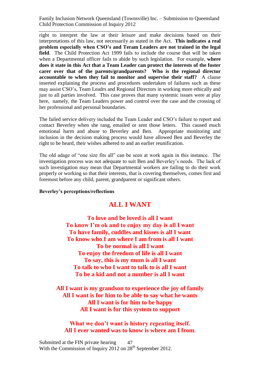right to interpret the law at their leisure and make decisions based on their interpretations of this law, not necessarily as stated in the Act. **This indicates a real problem especially when CSO's and Teram Leaders are not trained in the legal field**. The Child Protection Act 1999 fails to include the course that will be taken when a Departmental officer fails to abide by such legislation. For example, **where does it state in this Act that a Team Leader can protect the interests of the foster carer over that of the parents/grandparents? Who is the regional director accountable to when they fail to monitor and supervise their staff?** A clause inserted explaining the process and procedures undertaken of failures such as these may assist CSO's, Team Leadrs and Regional Directors in working more ethically and just to all parties involved. This case proves that many systemic issues were at play here, namely, the Team Leaders power and control over the case and the crossing of her professional and personal boundaries.

The failed service delivery included the Team Leader and CSO's failure to report and contact Beverley when she rang, emailed or sent those letters. This caused much emotional harm and abuse to Beverley and Ben. Appropriate monitoring and inclusion in the decision making process would have allowed Ben and Beverley the right to be heard, their wishes adhered to and an earlier reunification.

The old adage of "one size fits all" can be seen at work again in this instance. The investigation process was not adequate to suit Ben and Beverley's needs. The lack of such investigation may mean that Departmental workers are failing to do their work properly or working so that their interests, that is covering themselves, comes first and foremost before any child, parent, grandparent or significant others.

#### **Beverley's perceptions/reflections**

## **ALL I WANT**

**To love and be loved is all I want To know I'm ok and to enjoy my day is all I want To have family, cuddles and kisses is all I want To know who I am where I am from is all I want To be normal is all I want To enjoy the freedom of life is all I want To say, this is my mum is all I want To talk to who I want to talk to is all I want To be a kid and not a number is all I want**

**All I want is my grandson to experience the joy of family All I want is for him to be able to say what he wants All I want is for him to be happy All I want is for this system to support**

**What we don't want is history repeating itself. All I ever wanted was to know is where am I from.**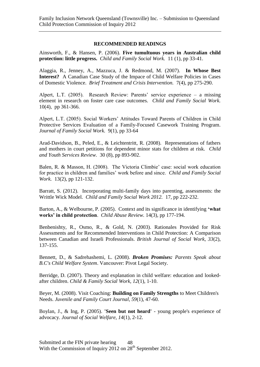#### **RECOMMENDED READINGS**

Ainsworth, F., & Hansen, P. (2006). **Five tumultuous years in Australian child protection: little progress.** *Child and Family Social Work.* 11 (1), pp 33-41.

Alaggia, R., Jenney, A., Mazzuca, J. & Redmond, M. (2007). **In Whose Best Interest?** A Canadian Case Study of the Impace of Child Welfare Policies in Cases of Domestic Violence. *Brief Treatment and Crisis Intervention.* 7(4), pp 275-290.

Alpert, L.T. (2005). Research Review: Parents' service experience – a missing element in research on foster care case outcomes. *Child and Family Social Work.*  10(4), pp 361-366.

Alpert, L.T. (2005). Social Workers' Attitudes Toward Parents of Children in Child Protective Services Evaluation of a Family-Focused Casework Training Program. *Journal of Family Social Work.* 9(1), pp 33-64

Arad-Davidson, B., Peled, E., & Leichtentritt, R. (2008). Representations of fathers and mothers in court petitions for dependent minor stats for children at risk. *Child and Youth Services Review.* 30 (8), pp 893-902.

Balen, R. & Masson, H. (2008). The Victoria Climbie' case: social work education for practice in children and families' work before and since. *Child and Family Social Work.* 13(2), pp 121-132.

Barratt, S. (2012). Incorporating multi-family days into parenting, assessments: the Writtle Wick Model. *Child and Family Social Work 2012.* 17, pp 222-232.

Barton, A., & Welbourne, P. (2005). Context and its significance in identifying **'what works' in child protection**. *Child Abuse Review.* 14(3), pp 177-194.

Benbenishty, R., Osmo, R., & Gold, N. (2003). Rationales Provided for Risk Assessments and for Recommended Interventions in Child Protection: A Comparison between Canadian and Israeli Professionals. *British Journal of Social Work, 33*(2), 137-155.

Bennett, D., & Sadrehashemi, L. (2008). *Broken Promises: Parents Speak about B.C's Child Welfare System*. Vancouver: Pivot Legal Society.

Berridge, D. (2007). Theory and explanation in child welfare: education and lookedafter children. *Child & Family Social Work, 12*(1), 1-10.

Beyer, M. (2008). Visit Coaching: **Building on Family Strengths** to Meet Children's Needs. *Juvenile and Family Court Journal, 59*(1), 47-60.

Boylan, J., & Ing, P. (2005). **'Seen but not heard'** - young people's experience of advocacy. *Journal of Social Welfare, 14*(1), 2-12.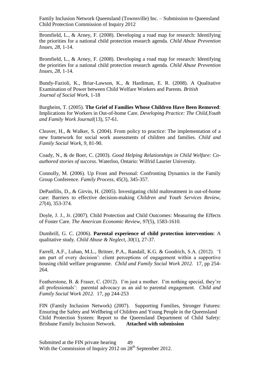Bromfield, L., & Arney, F. (2008). Developing a road map for research: Identifying the priorities for a national child protection research agenda. *Child Abuse Prevention Issues, 28*, 1-14.

Bromfield, L., & Arney, F. (2008). Developing a road map for research: Identifying the priorities for a national child protection research agenda. *Child Abuse Prevention Issues, 28*, 1-14.

Bundy-Fazioli, K., Briar-Lawson, K., & Hardiman, E. R. (2008). A Qualitative Examination of Power between Child Welfare Workers and Parents. *British Journal of Social Work*, 1-18

Burgheim, T. (2005). **The Grief of Families Whose Children Have Been Removed**: Implications for Workers in Out-of-home Care. *Developing Practice: The Child,Youth and Family Work Journal*(13), 57-61.

Cleaver, H., & Walker, S. (2004). From policy to practice: The implementation of a new framework for social work assessments of children and families. *Child and Family Social Work, 9*, 81-90.

Coady, N., & de Boer, C. (2003). *Good Helping Relationships in Child Welfare: Coauthored stories of success*. Waterloo, Ontario: Wilfrid Laurier University.

Connolly, M. (2006). Up Front and Personal: Confronting Dynamics in the Family Group Conference. *Family Process, 45*(3), 345-357.

DePanfilis, D., & Girvin, H. (2005). Investigating child maltreatment in out-of-home care: Barriers to effective decision-making *Children and Youth Services Review, 27*(4), 353-374.

Doyle, J. J., Jr. (2007). Child Protection and Child Outcomes: Measuring the Effects of Foster Care. *The American Economic Review, 97*(5), 1583-1610.

Dumbrill, G. C. (2006). **Parental experience of child protection intervention:** A qualitative study. *Child Abuse & Neglect, 30*(1), 27-37.

Farrell, A.F., Luhan, M.L., Britner, P.A., Randall, K.G. & Goodrich, S.A. (2012). 'I am part of every decision': client perceptions of engagement within a supportive housing child welfare programme. *Child and Family Social Work 2012.* 17, pp 254- 264.

Featherstone, B. & Fraser, C. (2012). I'm just a mother. I'm nothing special, they're all professionals': parental advocacy as an aid to parental engagement. *Child and Family Social Work 2012.* 17, pp 244-253

FIN (Family Inclusion Network) (2007). Supporting Families, Stronger Futures: Ensuring the Safety and Wellbeing of Children and Young People in the Queensland Child Protection System: Report to the Queensland Department of Child Safety: Brisbane Family Inclusion Network. **Attached with submission**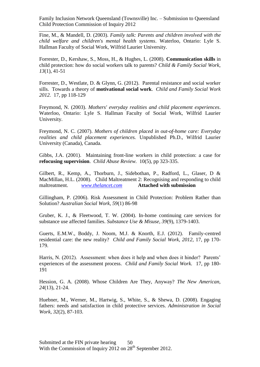Fine, M., & Mandell, D. (2003). *Family talk: Parents and children involved with the child welfare and children's mental health systems*. Waterloo, Ontario: Lyle S. Hallman Faculty of Social Work, Wilfrid Laurier University.

Forrester, D., Kershaw, S., Moss, H., & Hughes, L. (2008). **Communication skills** in child protection: how do social workers talk to parents? *Child & Family Social Work, 13*(1), 41-51

Forrester, D., Westlate, D. & Glynn, G. (2012). Parental resistance and social worker sills. Towards a theory of **motivational social work**. *Child and Family Social Work 2012.* 17, pp 118-129

Freymond, N. (2003). *Mothers' everyday realities and child placement experiences*. Waterloo, Ontario: Lyle S. Hallman Faculty of Social Work, Wilfrid Laurier University.

Freymond, N. C. (2007). *Mothers of children placed in out-of-home care: Everyday realities and child placement experiences.* Unpublished Ph.D., Wilfrid Laurier University (Canada), Canada.

Gibbs, J.A. (2001). Maintaining front-line workers in child protection: a case for **refocusing supervision**. *Child Abuse Review.* 10(5), pp 323-335.

Gilbert, R., Kemp, A., Thorburn, J., Sidebothan, P., Radford, L., Glaser, D & MacMillan, H.L. (2008). Child Maltreatment 2: Recognising and responding to child maltreatment. *[www.thelancet.com](http://www.thelancet.com/)* **Attached with submission**

Gillingham, P. (2006). Risk Assessment in Child Protection: Problem Rather than Solution? *Australian Social Work, 59*(1) 86-98

Gruber, K. J., & Fleetwood, T. W. (2004). In-home continuing care services for substance use affected families. *Substance Use & Misuse, 39*(9), 1379-1403.

Guerts, E.M.W., Boddy, J. Noom, M.J. & Knorth, E.J. (2012). Family-centred residential care: the new reality? *Child and Family Social Work, 2012,* 17, pp 170- 179.

Harris, N. (2012). Assessment: when does it help and when does it hinder? Parents' experiences of the assessment process. *Child and Family Social Work.* 17, pp 180- 191

Hession, G. A. (2008). Whose Children Are They, Anyway? *The New American, 24*(13), 21-24.

Huebner, M., Werner, M., Hartwig, S., White, S., & Shewa, D. (2008). Engaging fathers: needs and satisfaction in child protective services. *Administration in Social Work, 32*(2), 87-103.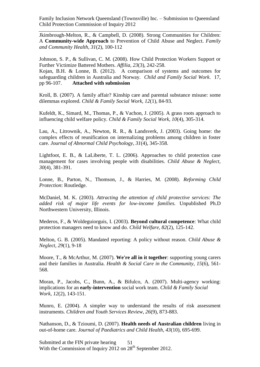Jkimbrough-Melton, R., & Campbell, D. (2008). Strong Communities for Children: A **Community-wide Approach** to Prevention of Child Abuse and Neglect. *Family and Community Health, 31*(2), 100-112

Johnson, S. P., & Sullivan, C. M. (2008). How Child Protection Workers Support or Further Victimize Battered Mothers. *Affilia, 23*(3), 242-258.

Kojan, B.H. & Lonne, B. (2012). A comparison of systems and outcomes for safeguarding children in Australia and Norway. *Child and Family Social Work*. 17, pp 96-107. **Attached with submission**

Kroll, B. (2007). A family affair? Kinship care and parental substance misuse: some dilemmas explored. *Child & Family Social Work, 12*(1), 84-93.

Kufeldt, K., Simard, M., Thomas, P., & Vachon, J. (2005). A grass roots approach to influencing child welfare policy. *Child & Family Social Work, 10*(4), 305-314.

Lau, A., Litrownik, A., Newton, R. R., & Landsverk, J. (2003). Going home: the complex effects of reunification on internalizing problems among children in foster care. *Journal of Abnormal Child Psychology, 31*(4), 345-358.

Lightfoot, E. B., & LaLiberte, T. L. (2006). Approaches to child protection case management for cases involving people with disabilities. *Child Abuse & Neglect, 30*(4), 381-391.

Lonne, B., Parton, N., Thomson, J., & Harries, M. (2008). *Reforming Child Protection*: Routledge.

McDaniel, M. K. (2003). *Attracting the attention of child protective services: The added risk of major life events for low-income families.* Unpublished Ph.D Northwestern University, Illinois.

Mederos, F., & Woldeguiorguis, I. (2003). **Beyond cultural competence**: What child protection managers need to know and do. *Child Welfare, 82*(2), 125-142.

Melton, G. B. (2005). Mandated reporting: A policy without reason. *Child Abuse & Neglect, 29*(1), 9-18

Moore, T., & McArthur, M. (2007). **We're all in it together**: supporting young carers and their families in Australia. *Health & Social Care in the Community, 15*(6), 561- 568.

Moran, P., Jacobs, C., Bunn, A., & Bifulco, A. (2007). Multi-agency working: implications for an **early-intervention** social work team. *Child & Family Social Work, 12*(2), 143-151.

Munro, E. (2004). A simpler way to understand the results of risk assessment instruments. *Children and Youth Services Review, 26*(9), 873-883.

Nathanson, D., & Tzioumi, D. (2007). **Health needs of Australian children** living in out-of-home care. *Journal of Paediatrics and Child Health, 43*(10), 695-699.